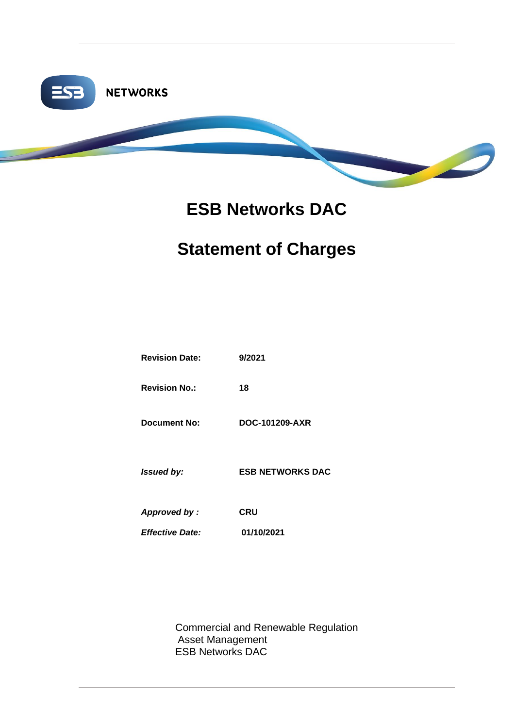

# **ESB Networks DAC**

# **Statement of Charges**

| <b>Revision Date:</b>  | 9/2021                  |
|------------------------|-------------------------|
| <b>Revision No.:</b>   | 18                      |
| <b>Document No:</b>    | DOC-101209-AXR          |
| Issued by:             | <b>ESB NETWORKS DAC</b> |
| Approved by :          | <b>CRU</b>              |
| <b>Effective Date:</b> | 01/10/2021              |
|                        |                         |

Commercial and Renewable Regulation Asset Management ESB Networks DAC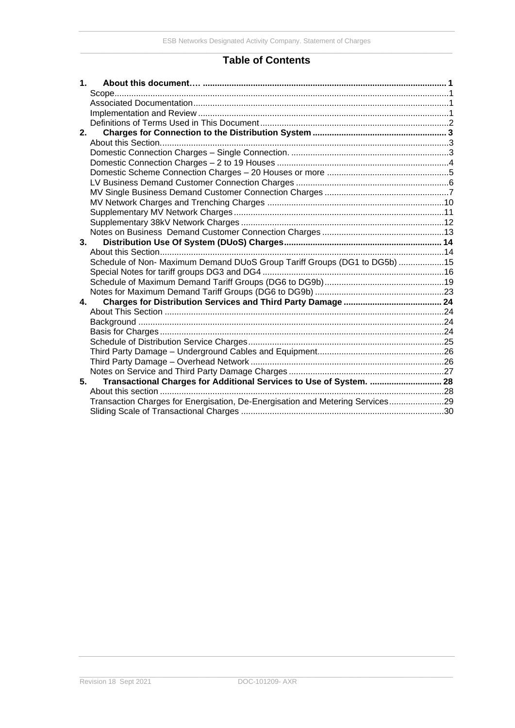### **Table of Contents**

| 1. |                                                                               |  |
|----|-------------------------------------------------------------------------------|--|
|    |                                                                               |  |
|    |                                                                               |  |
|    |                                                                               |  |
|    |                                                                               |  |
| 2. |                                                                               |  |
|    |                                                                               |  |
|    |                                                                               |  |
|    |                                                                               |  |
|    |                                                                               |  |
|    |                                                                               |  |
|    |                                                                               |  |
|    |                                                                               |  |
|    |                                                                               |  |
|    |                                                                               |  |
|    |                                                                               |  |
|    | 3.                                                                            |  |
|    |                                                                               |  |
|    | Schedule of Non- Maximum Demand DUoS Group Tariff Groups (DG1 to DG5b) 15     |  |
|    |                                                                               |  |
|    |                                                                               |  |
|    |                                                                               |  |
|    | 4.                                                                            |  |
|    |                                                                               |  |
|    |                                                                               |  |
|    |                                                                               |  |
|    |                                                                               |  |
|    |                                                                               |  |
|    |                                                                               |  |
|    |                                                                               |  |
| 5. | Transactional Charges for Additional Services to Use of System.  28           |  |
|    |                                                                               |  |
|    | Transaction Charges for Energisation, De-Energisation and Metering Services29 |  |
|    |                                                                               |  |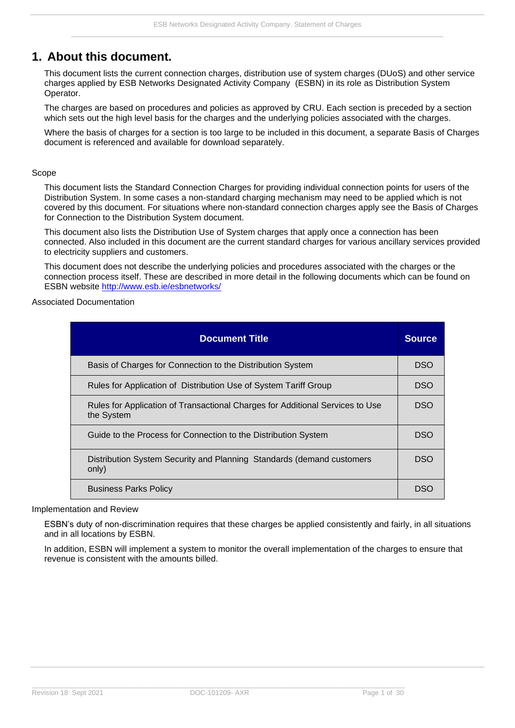# <span id="page-2-0"></span>**1. About this document.**

This document lists the current connection charges, distribution use of system charges (DUoS) and other service charges applied by ESB Networks Designated Activity Company (ESBN) in its role as Distribution System Operator.

The charges are based on procedures and policies as approved by CRU. Each section is preceded by a section which sets out the high level basis for the charges and the underlying policies associated with the charges.

Where the basis of charges for a section is too large to be included in this document, a separate Basis of Charges document is referenced and available for download separately.

#### <span id="page-2-1"></span>Scope

This document lists the Standard Connection Charges for providing individual connection points for users of the Distribution System. In some cases a non-standard charging mechanism may need to be applied which is not covered by this document. For situations where non-standard connection charges apply see the Basis of Charges for Connection to the Distribution System document.

This document also lists the Distribution Use of System charges that apply once a connection has been connected. Also included in this document are the current standard charges for various ancillary services provided to electricity suppliers and customers.

This document does not describe the underlying policies and procedures associated with the charges or the connection process itself. These are described in more detail in the following documents which can be found on ESBN website<http://www.esb.ie/esbnetworks/>

<span id="page-2-2"></span>Associated Documentation

| <b>Document Title</b>                                                                       | <b>Source</b> |
|---------------------------------------------------------------------------------------------|---------------|
| Basis of Charges for Connection to the Distribution System                                  | DSO           |
| Rules for Application of Distribution Use of System Tariff Group                            | <b>DSO</b>    |
| Rules for Application of Transactional Charges for Additional Services to Use<br>the System | DSO           |
| Guide to the Process for Connection to the Distribution System                              | DSO           |
| Distribution System Security and Planning Standards (demand customers<br>only)              | DSO           |
| <b>Business Parks Policy</b>                                                                | DSC           |

<span id="page-2-3"></span>Implementation and Review

ESBN's duty of non-discrimination requires that these charges be applied consistently and fairly, in all situations and in all locations by ESBN.

In addition, ESBN will implement a system to monitor the overall implementation of the charges to ensure that revenue is consistent with the amounts billed.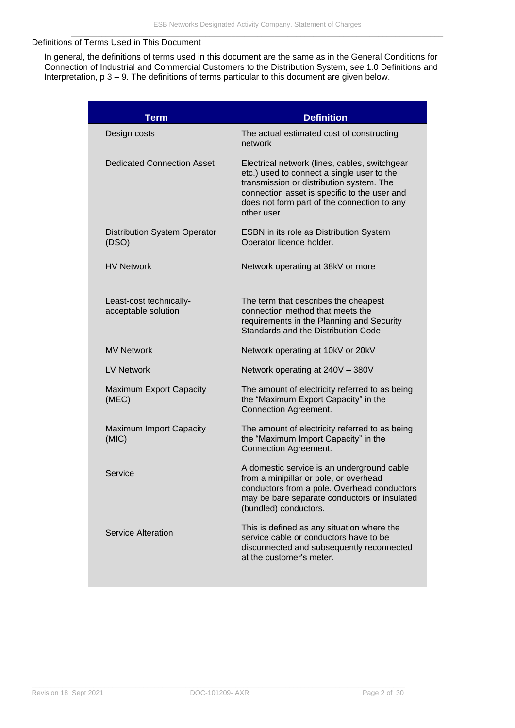#### <span id="page-3-0"></span>Definitions of Terms Used in This Document

In general, the definitions of terms used in this document are the same as in the General Conditions for Connection of Industrial and Commercial Customers to the Distribution System, see 1.0 Definitions and Interpretation, p 3 – 9. The definitions of terms particular to this document are given below.

| Term                                           | <b>Definition</b>                                                                                                                                                                                                                                     |
|------------------------------------------------|-------------------------------------------------------------------------------------------------------------------------------------------------------------------------------------------------------------------------------------------------------|
| Design costs                                   | The actual estimated cost of constructing<br>network                                                                                                                                                                                                  |
| <b>Dedicated Connection Asset</b>              | Electrical network (lines, cables, switchgear<br>etc.) used to connect a single user to the<br>transmission or distribution system. The<br>connection asset is specific to the user and<br>does not form part of the connection to any<br>other user. |
| <b>Distribution System Operator</b><br>(DSO)   | ESBN in its role as Distribution System<br>Operator licence holder.                                                                                                                                                                                   |
| <b>HV Network</b>                              | Network operating at 38kV or more                                                                                                                                                                                                                     |
| Least-cost technically-<br>acceptable solution | The term that describes the cheapest<br>connection method that meets the<br>requirements in the Planning and Security<br>Standards and the Distribution Code                                                                                          |
| <b>MV Network</b>                              | Network operating at 10kV or 20kV                                                                                                                                                                                                                     |
| <b>LV Network</b>                              | Network operating at 240V - 380V                                                                                                                                                                                                                      |
| <b>Maximum Export Capacity</b><br>(MEC)        | The amount of electricity referred to as being<br>the "Maximum Export Capacity" in the<br><b>Connection Agreement.</b>                                                                                                                                |
| Maximum Import Capacity<br>(MIC)               | The amount of electricity referred to as being<br>the "Maximum Import Capacity" in the<br><b>Connection Agreement.</b>                                                                                                                                |
| Service                                        | A domestic service is an underground cable<br>from a minipillar or pole, or overhead<br>conductors from a pole. Overhead conductors<br>may be bare separate conductors or insulated<br>(bundled) conductors.                                          |
| Service Alteration                             | This is defined as any situation where the<br>service cable or conductors have to be<br>disconnected and subsequently reconnected<br>at the customer's meter.                                                                                         |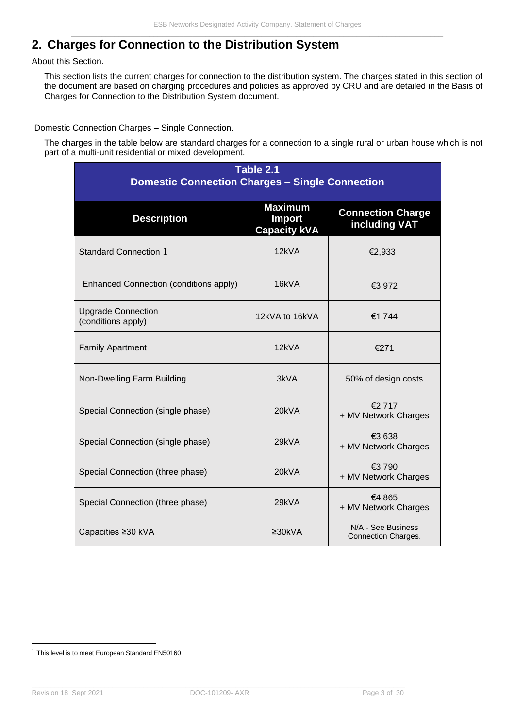# <span id="page-4-0"></span>**2. Charges for Connection to the Distribution System**

<span id="page-4-1"></span>About this Section.

This section lists the current charges for connection to the distribution system. The charges stated in this section of the document are based on charging procedures and policies as approved by CRU and are detailed in the Basis of Charges for Connection to the Distribution System document.

<span id="page-4-2"></span>Domestic Connection Charges – Single Connection.

The charges in the table below are standard charges for a connection to a single rural or urban house which is not part of a multi-unit residential or mixed development.

| Table 2.1<br><b>Domestic Connection Charges - Single Connection</b> |                                                 |                                           |  |  |  |
|---------------------------------------------------------------------|-------------------------------------------------|-------------------------------------------|--|--|--|
| <b>Description</b>                                                  | <b>Maximum</b><br>Import<br><b>Capacity kVA</b> | <b>Connection Charge</b><br>including VAT |  |  |  |
| <b>Standard Connection 1</b>                                        | 12kVA                                           | €2,933                                    |  |  |  |
| Enhanced Connection (conditions apply)                              | 16kVA                                           | €3,972                                    |  |  |  |
| <b>Upgrade Connection</b><br>(conditions apply)                     | 12kVA to 16kVA                                  | €1,744                                    |  |  |  |
| <b>Family Apartment</b>                                             | 12kVA                                           | €271                                      |  |  |  |
| Non-Dwelling Farm Building                                          | 3kVA                                            | 50% of design costs                       |  |  |  |
| Special Connection (single phase)                                   | 20kVA                                           | €2,717<br>+ MV Network Charges            |  |  |  |
| Special Connection (single phase)                                   | 29kVA                                           | €3,638<br>+ MV Network Charges            |  |  |  |
| Special Connection (three phase)                                    | 20kVA                                           | €3,790<br>+ MV Network Charges            |  |  |  |
| Special Connection (three phase)                                    | 29kVA                                           | €4,865<br>+ MV Network Charges            |  |  |  |
| Capacities ≥30 kVA                                                  | $\geq 30kVA$                                    | N/A - See Business<br>Connection Charges. |  |  |  |

 $1$  This level is to meet European Standard EN50160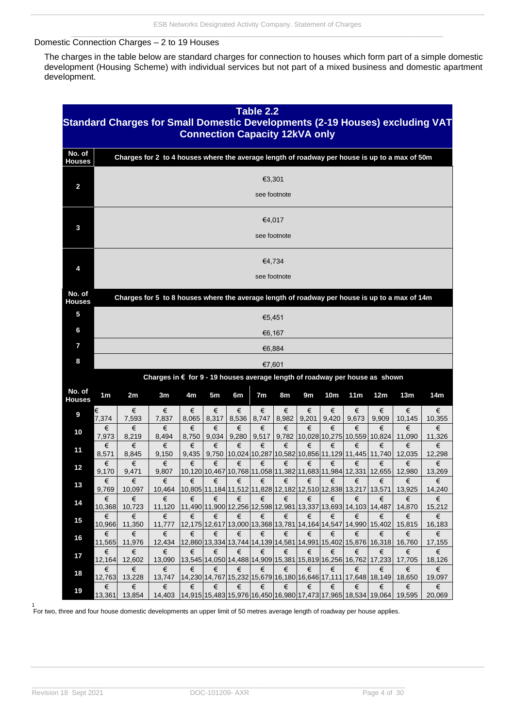#### <span id="page-5-0"></span>Domestic Connection Charges – 2 to 19 Houses

The charges in the table below are standard charges for connection to houses which form part of a simple domestic development (Housing Scheme) with individual services but not part of a mixed business and domestic apartment development.

| Table 2.2<br>Standard Charges for Small Domestic Developments (2-19 Houses) excluding VAT<br><b>Connection Capacity 12kVA only</b> |                        |                       |                                                                                               |            |                |            |                |            |            |                 |                                                       |                                                                                   |                                                                                        |                       |
|------------------------------------------------------------------------------------------------------------------------------------|------------------------|-----------------------|-----------------------------------------------------------------------------------------------|------------|----------------|------------|----------------|------------|------------|-----------------|-------------------------------------------------------|-----------------------------------------------------------------------------------|----------------------------------------------------------------------------------------|-----------------------|
| No. of<br><b>Houses</b>                                                                                                            |                        |                       | Charges for 2 to 4 houses where the average length of roadway per house is up to a max of 50m |            |                |            |                |            |            |                 |                                                       |                                                                                   |                                                                                        |                       |
| $\overline{\mathbf{c}}$                                                                                                            | €3,301<br>see footnote |                       |                                                                                               |            |                |            |                |            |            |                 |                                                       |                                                                                   |                                                                                        |                       |
| 3                                                                                                                                  | €4,017<br>see footnote |                       |                                                                                               |            |                |            |                |            |            |                 |                                                       |                                                                                   |                                                                                        |                       |
| 4                                                                                                                                  | €4,734<br>see footnote |                       |                                                                                               |            |                |            |                |            |            |                 |                                                       |                                                                                   |                                                                                        |                       |
| No. of<br><b>Houses</b>                                                                                                            |                        |                       | Charges for 5 to 8 houses where the average length of roadway per house is up to a max of 14m |            |                |            |                |            |            |                 |                                                       |                                                                                   |                                                                                        |                       |
| 5                                                                                                                                  |                        |                       |                                                                                               |            |                |            | €5,451         |            |            |                 |                                                       |                                                                                   |                                                                                        |                       |
| 6                                                                                                                                  |                        |                       |                                                                                               |            |                |            | €6,167         |            |            |                 |                                                       |                                                                                   |                                                                                        |                       |
| $\overline{I}$                                                                                                                     |                        |                       |                                                                                               |            |                |            |                | €6,884     |            |                 |                                                       |                                                                                   |                                                                                        |                       |
| 8                                                                                                                                  |                        |                       |                                                                                               |            |                |            | €7,601         |            |            |                 |                                                       |                                                                                   |                                                                                        |                       |
|                                                                                                                                    |                        |                       | Charges in € for 9 - 19 houses average length of roadway per house as shown                   |            |                |            |                |            |            |                 |                                                       |                                                                                   |                                                                                        |                       |
| No. of<br><b>Houses</b>                                                                                                            | 1 <sub>m</sub>         | 2m                    | 3m                                                                                            | 4m         | 5 <sub>m</sub> | 6m         | 7 <sub>m</sub> | 8m         | 9m         | 10 <sub>m</sub> | 11m                                                   | 12m                                                                               | 13m                                                                                    | 14m                   |
| 9                                                                                                                                  | €<br>7,374             | €<br>7,593            | €<br>7,837                                                                                    | €<br>8,065 | €<br>8,317     | €<br>8,536 | €<br>8,747     | €<br>8,982 | €<br>9,201 | €<br>9,420      | €<br>9,673                                            | €<br>9,909                                                                        | €<br>10,145                                                                            | €<br>10,355           |
| 10                                                                                                                                 | €<br>7,973             | €<br>8,219            | €<br>8,494                                                                                    | €<br>8,750 | €<br>9,034     | €<br>9,280 | €<br>9,517     | €          | €          | €               | €                                                     | €<br>9,782   10,028   10,275   10,559   10,824                                    | €<br>11,090                                                                            | €<br>11,326           |
| 11                                                                                                                                 | €<br>8,571             | €<br>8,845            | €<br>9,150                                                                                    | €<br>9,435 | €<br>9,750     | €          | €              | €          | €          | €               | €<br>10,024 10,287 10,582 10,856 11,129 11,445 11,740 | €                                                                                 | €<br>12,035                                                                            | €<br>12,298           |
| 12                                                                                                                                 | €<br>9,170             | €<br>9,471            | €<br>9,807                                                                                    | €          | €              | €          | €              | €          | €          | €               | €                                                     | €<br>10,120 10,467   10,768   11,058   11,382   11,683   11,984   12,331   12,655 | €<br>12,980                                                                            | €<br>13,269           |
| 13                                                                                                                                 | €<br>9,769             | €<br>10,097           | €<br>10,464                                                                                   | €          | €              | €          | €              | €          | €          | €               | €                                                     | €                                                                                 | €<br>10,805 11,184 11,512 11,828 12,182 12,510 12,838 13,217 13,571 13,925             | €<br>14,240           |
| 14                                                                                                                                 | €<br>10,368            | €<br>10,723           | €<br>11,120                                                                                   | €          | €              | €          | €              | €          | €          | €               | €                                                     | €<br>11,490 11,900 12,256 12,598 12,981 13,337 13,693 14,103 14,487               | €<br>14,870                                                                            | €<br>15,212           |
| 15                                                                                                                                 | €<br>10,966            | €<br>11,350           | €<br>11,777                                                                                   | €          | €              | €          | €              | €          | €          | €               | €                                                     | €<br>12,175 12,617   13,000   13,368   13,781   14,164   14,547   14,990   15,402 | €<br>15,815                                                                            | €<br>16,183           |
| 16                                                                                                                                 | €<br>11,565            | €<br>11,976           | €<br>12,434                                                                                   | €          | €              | €          | €              | €          | €          | €               | €                                                     | €<br>12,860 13,334 13,744 14,139 14,581 14,991 15,402 15,876 16,318               | €<br>16,760                                                                            | €<br>17,155           |
| 17                                                                                                                                 | €                      | €                     | €                                                                                             | €          | €              | €          | €              | €          | €          | €               | €                                                     | €                                                                                 | €                                                                                      | €                     |
| 18                                                                                                                                 | 12,164 <br>€           | 12,602<br>€           | 13,090<br>€                                                                                   | €          | €              | €          | €              | €          | €          | €               | €                                                     | 13,545 14,050 14,488 14,909 15,381 15,819 16,256 16,762 17,233<br>€               | 17,705<br>€                                                                            | 18,126<br>€           |
| 19                                                                                                                                 | 12,763<br>€<br>13,361  | 13,228<br>€<br>13,854 | 13,747<br>€<br>14,403                                                                         | €          | €              | €          | €              | €          | €          | €               | €                                                     | 14,230 14,767 15,232 15,679 16,180 16,646 17,111 17,648 18,149<br>€               | 18,650<br>€<br> 14,915 15,483 15,976 16,450 16,980 17,473 17,965 18,534 19,064  19,595 | 19,097<br>€<br>20,069 |

1 For two, three and four house domestic developments an upper limit of 50 metres average length of roadway per house applies.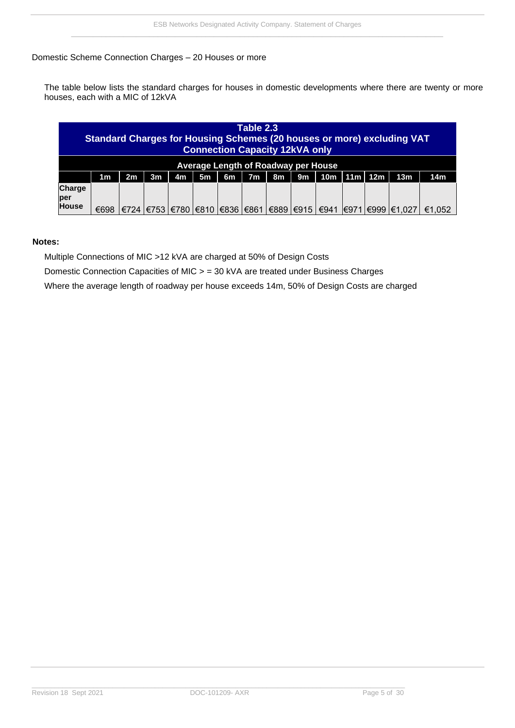#### <span id="page-6-0"></span>Domestic Scheme Connection Charges – 20 Houses or more

The table below lists the standard charges for houses in domestic developments where there are twenty or more houses, each with a MIC of 12kVA

| Table 2.3<br><b>Standard Charges for Housing Schemes (20 houses or more) excluding VAT</b><br><b>Connection Capacity 12kVA only</b> |                                                                                                                                                   |      |  |  |                                          |  |  |  |  |      |  |  |                   |        |
|-------------------------------------------------------------------------------------------------------------------------------------|---------------------------------------------------------------------------------------------------------------------------------------------------|------|--|--|------------------------------------------|--|--|--|--|------|--|--|-------------------|--------|
|                                                                                                                                     | Average Length of Roadway per House                                                                                                               |      |  |  |                                          |  |  |  |  |      |  |  |                   |        |
|                                                                                                                                     | 11m<br>12m<br>7 <sub>m</sub><br>10 <sub>m</sub><br>5m<br>13 <sub>m</sub><br>14m<br>4m<br>9m<br>1 <sub>m</sub><br>2m<br>3 <sub>m</sub><br>6m<br>8m |      |  |  |                                          |  |  |  |  |      |  |  |                   |        |
| <b>Charge</b><br>per<br><b>House</b>                                                                                                | €698                                                                                                                                              | €724 |  |  | €753  €780  €810  €836  €861  €889  €915 |  |  |  |  | €941 |  |  | I€971I€999I€1.027 | €1.052 |

#### **Notes:**

Multiple Connections of MIC >12 kVA are charged at 50% of Design Costs

Domestic Connection Capacities of MIC > = 30 kVA are treated under Business Charges

Where the average length of roadway per house exceeds 14m, 50% of Design Costs are charged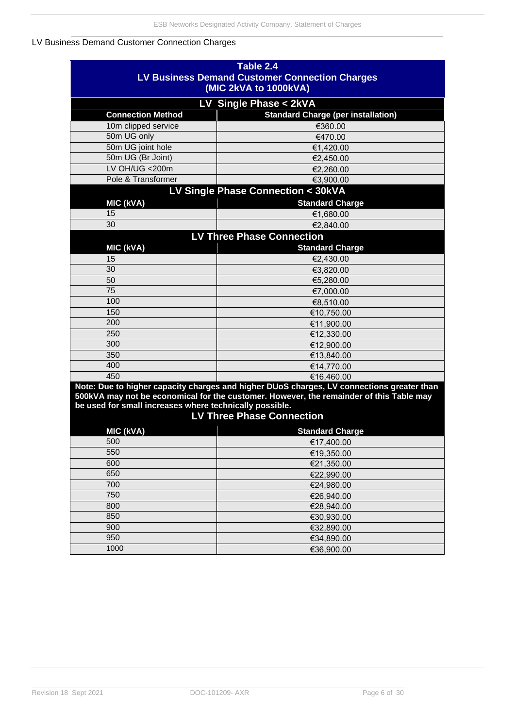### <span id="page-7-0"></span>LV Business Demand Customer Connection Charges

| Table 2.4                                                             |                                                                                           |  |  |  |  |  |  |  |
|-----------------------------------------------------------------------|-------------------------------------------------------------------------------------------|--|--|--|--|--|--|--|
|                                                                       | <b>LV Business Demand Customer Connection Charges</b>                                     |  |  |  |  |  |  |  |
| (MIC 2kVA to 1000kVA)                                                 |                                                                                           |  |  |  |  |  |  |  |
|                                                                       | LV Single Phase < 2kVA                                                                    |  |  |  |  |  |  |  |
| <b>Connection Method</b><br><b>Standard Charge (per installation)</b> |                                                                                           |  |  |  |  |  |  |  |
| 10m clipped service                                                   | €360.00                                                                                   |  |  |  |  |  |  |  |
| 50m UG only                                                           | €470.00                                                                                   |  |  |  |  |  |  |  |
| 50m UG joint hole                                                     | €1.420.00                                                                                 |  |  |  |  |  |  |  |
| 50m UG (Br Joint)                                                     | €2,450.00                                                                                 |  |  |  |  |  |  |  |
| LV OH/UG < 200m                                                       | €2,260.00                                                                                 |  |  |  |  |  |  |  |
| Pole & Transformer                                                    | €3,900.00                                                                                 |  |  |  |  |  |  |  |
|                                                                       | LV Single Phase Connection < 30kVA                                                        |  |  |  |  |  |  |  |
| MIC (kVA)                                                             | <b>Standard Charge</b>                                                                    |  |  |  |  |  |  |  |
| 15                                                                    | €1,680.00                                                                                 |  |  |  |  |  |  |  |
| 30                                                                    | €2,840.00                                                                                 |  |  |  |  |  |  |  |
|                                                                       | <b>LV Three Phase Connection</b>                                                          |  |  |  |  |  |  |  |
| MIC (kVA)                                                             | <b>Standard Charge</b>                                                                    |  |  |  |  |  |  |  |
| 15                                                                    | €2,430.00                                                                                 |  |  |  |  |  |  |  |
| 30                                                                    | €3,820.00                                                                                 |  |  |  |  |  |  |  |
| 50                                                                    | €5,280.00                                                                                 |  |  |  |  |  |  |  |
| 75                                                                    | €7,000.00                                                                                 |  |  |  |  |  |  |  |
| 100                                                                   | €8,510.00                                                                                 |  |  |  |  |  |  |  |
| 150                                                                   | €10,750.00                                                                                |  |  |  |  |  |  |  |
| 200                                                                   | €11,900.00                                                                                |  |  |  |  |  |  |  |
| 250                                                                   | €12,330.00                                                                                |  |  |  |  |  |  |  |
| 300                                                                   | €12,900.00                                                                                |  |  |  |  |  |  |  |
| 350                                                                   | €13,840.00                                                                                |  |  |  |  |  |  |  |
| 400                                                                   | €14,770.00                                                                                |  |  |  |  |  |  |  |
| 450                                                                   | €16,460.00                                                                                |  |  |  |  |  |  |  |
|                                                                       | Note: Due to higher capacity charges and higher DUoS charges, LV connections greater than |  |  |  |  |  |  |  |
|                                                                       | 500kVA may not be economical for the customer. However, the remainder of this Table may   |  |  |  |  |  |  |  |
| be used for small increases where technically possible.               |                                                                                           |  |  |  |  |  |  |  |
| <b>LV Three Phase Connection</b>                                      |                                                                                           |  |  |  |  |  |  |  |
| MIC (kVA)                                                             | <b>Standard Charge</b>                                                                    |  |  |  |  |  |  |  |
| 500                                                                   | €17.400.00                                                                                |  |  |  |  |  |  |  |
| 550                                                                   | €19,350.00                                                                                |  |  |  |  |  |  |  |
| 600                                                                   | €21,350.00                                                                                |  |  |  |  |  |  |  |
| 650                                                                   | €22,990.00                                                                                |  |  |  |  |  |  |  |
| 700                                                                   | €24,980.00                                                                                |  |  |  |  |  |  |  |
| 750                                                                   | €26,940.00                                                                                |  |  |  |  |  |  |  |
| 800                                                                   | €28,940.00                                                                                |  |  |  |  |  |  |  |
| 850                                                                   | €30,930.00                                                                                |  |  |  |  |  |  |  |
| 900                                                                   | €32,890.00                                                                                |  |  |  |  |  |  |  |
| 950                                                                   | €34,890.00                                                                                |  |  |  |  |  |  |  |
| 1000                                                                  | €36,900.00                                                                                |  |  |  |  |  |  |  |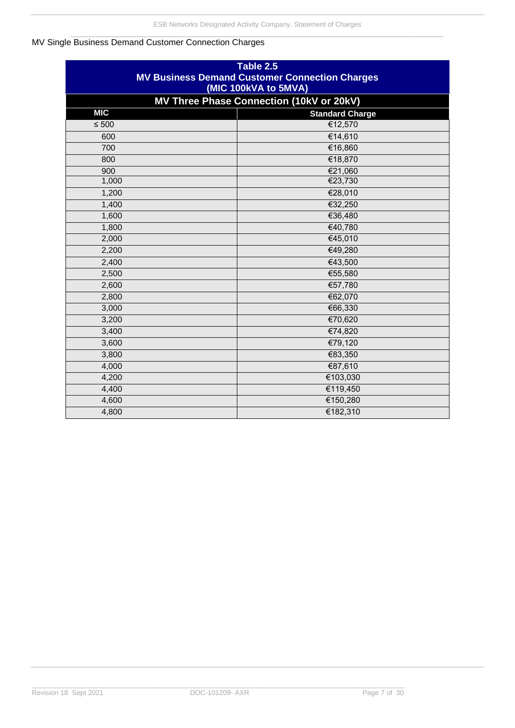### <span id="page-8-0"></span>MV Single Business Demand Customer Connection Charges

| Table 2.5<br><b>MV Business Demand Customer Connection Charges</b><br>(MIC 100kVA to 5MVA) |                                          |  |  |  |  |  |
|--------------------------------------------------------------------------------------------|------------------------------------------|--|--|--|--|--|
|                                                                                            | MV Three Phase Connection (10kV or 20kV) |  |  |  |  |  |
| <b>MIC</b><br><b>Standard Charge</b>                                                       |                                          |  |  |  |  |  |
| $\leq 500$                                                                                 | €12,570                                  |  |  |  |  |  |
| 600                                                                                        | €14,610                                  |  |  |  |  |  |
| 700                                                                                        | €16,860                                  |  |  |  |  |  |
| 800                                                                                        | €18,870                                  |  |  |  |  |  |
| 900                                                                                        | €21,060                                  |  |  |  |  |  |
| 1,000                                                                                      | €23,730                                  |  |  |  |  |  |
| 1,200                                                                                      | €28,010                                  |  |  |  |  |  |
| 1,400                                                                                      | €32,250                                  |  |  |  |  |  |
| 1,600                                                                                      | €36,480                                  |  |  |  |  |  |
| 1,800                                                                                      | €40,780                                  |  |  |  |  |  |
| 2,000                                                                                      | €45,010                                  |  |  |  |  |  |
| 2,200                                                                                      | €49,280                                  |  |  |  |  |  |
| 2,400                                                                                      | €43,500                                  |  |  |  |  |  |
| 2,500                                                                                      | €55,580                                  |  |  |  |  |  |
| 2,600                                                                                      | €57,780                                  |  |  |  |  |  |
| 2,800                                                                                      | €62,070                                  |  |  |  |  |  |
| 3,000                                                                                      | €66,330                                  |  |  |  |  |  |
| 3,200                                                                                      | €70,620                                  |  |  |  |  |  |
| 3,400                                                                                      | €74,820                                  |  |  |  |  |  |
| 3,600                                                                                      | €79,120                                  |  |  |  |  |  |
| 3,800                                                                                      | €83,350                                  |  |  |  |  |  |
| 4,000                                                                                      | €87,610                                  |  |  |  |  |  |
| 4,200                                                                                      | €103,030                                 |  |  |  |  |  |
| 4,400                                                                                      | €119,450                                 |  |  |  |  |  |
| 4,600                                                                                      | €150,280                                 |  |  |  |  |  |
| 4,800                                                                                      | €182,310                                 |  |  |  |  |  |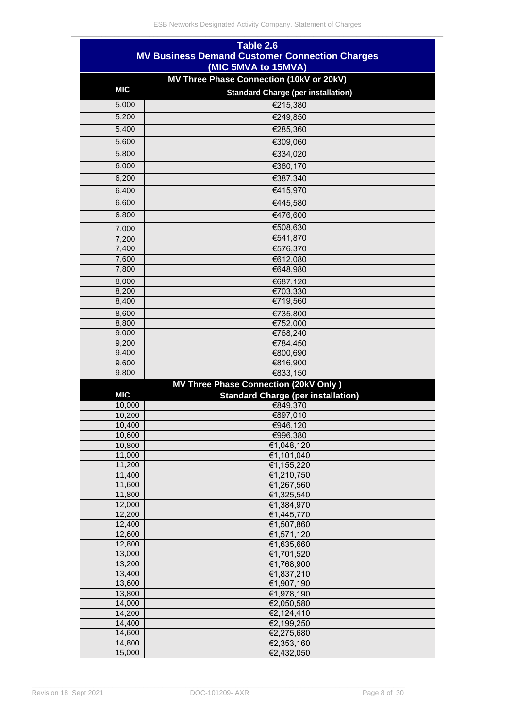| (MIC 5MVA to 15MVA)<br>MV Three Phase Connection (10kV or 20kV)<br><b>MIC</b><br><b>Standard Charge (per installation)</b><br>€215,380<br>5,000<br>5,200<br>€249,850<br>5,400<br>€285,360<br>5,600<br>€309,060<br>€334,020<br>5,800<br>€360,170<br>6,000<br>6,200<br>€387,340<br>6,400<br>€415,970<br>€445,580<br>6,600<br>6,800<br>€476,600<br>€508,630<br>7,000<br>€541,870<br>7,200<br>7,400<br>€576,370<br>7,600<br>€612,080<br>7,800<br>€648,980<br>€687,120<br>8,000<br>€703,330<br>8,200<br>8,400<br>€719,560<br>8,600<br>€735,800<br>8,800<br>€752,000<br>9,000<br>€768,240<br>9,200<br>€784,450<br>9,400<br>€800,690<br>9,600<br>€816,900<br>€833,150<br>9,800<br>MV Three Phase Connection (20kV Only)<br><b>MIC</b><br><b>Standard Charge (per installation)</b><br>€849,370<br>10,000<br>10,200<br>€897,010<br>10,400<br>€946,120<br>10,600<br>€996,380<br>10,800<br>€1,048,120<br>11,000<br>€1,101,040<br>11,200<br>€1,155,220<br>11,400<br>€1,210,750<br>€1,267,560<br>11,600<br>11,800<br>€1,325,540 | Table 2.6                                             |  |  |  |  |  |
|---------------------------------------------------------------------------------------------------------------------------------------------------------------------------------------------------------------------------------------------------------------------------------------------------------------------------------------------------------------------------------------------------------------------------------------------------------------------------------------------------------------------------------------------------------------------------------------------------------------------------------------------------------------------------------------------------------------------------------------------------------------------------------------------------------------------------------------------------------------------------------------------------------------------------------------------------------------------------------------------------------------------|-------------------------------------------------------|--|--|--|--|--|
|                                                                                                                                                                                                                                                                                                                                                                                                                                                                                                                                                                                                                                                                                                                                                                                                                                                                                                                                                                                                                     | <b>MV Business Demand Customer Connection Charges</b> |  |  |  |  |  |
|                                                                                                                                                                                                                                                                                                                                                                                                                                                                                                                                                                                                                                                                                                                                                                                                                                                                                                                                                                                                                     |                                                       |  |  |  |  |  |
|                                                                                                                                                                                                                                                                                                                                                                                                                                                                                                                                                                                                                                                                                                                                                                                                                                                                                                                                                                                                                     |                                                       |  |  |  |  |  |
|                                                                                                                                                                                                                                                                                                                                                                                                                                                                                                                                                                                                                                                                                                                                                                                                                                                                                                                                                                                                                     |                                                       |  |  |  |  |  |
|                                                                                                                                                                                                                                                                                                                                                                                                                                                                                                                                                                                                                                                                                                                                                                                                                                                                                                                                                                                                                     |                                                       |  |  |  |  |  |
|                                                                                                                                                                                                                                                                                                                                                                                                                                                                                                                                                                                                                                                                                                                                                                                                                                                                                                                                                                                                                     |                                                       |  |  |  |  |  |
|                                                                                                                                                                                                                                                                                                                                                                                                                                                                                                                                                                                                                                                                                                                                                                                                                                                                                                                                                                                                                     |                                                       |  |  |  |  |  |
|                                                                                                                                                                                                                                                                                                                                                                                                                                                                                                                                                                                                                                                                                                                                                                                                                                                                                                                                                                                                                     |                                                       |  |  |  |  |  |
|                                                                                                                                                                                                                                                                                                                                                                                                                                                                                                                                                                                                                                                                                                                                                                                                                                                                                                                                                                                                                     |                                                       |  |  |  |  |  |
|                                                                                                                                                                                                                                                                                                                                                                                                                                                                                                                                                                                                                                                                                                                                                                                                                                                                                                                                                                                                                     |                                                       |  |  |  |  |  |
|                                                                                                                                                                                                                                                                                                                                                                                                                                                                                                                                                                                                                                                                                                                                                                                                                                                                                                                                                                                                                     |                                                       |  |  |  |  |  |
|                                                                                                                                                                                                                                                                                                                                                                                                                                                                                                                                                                                                                                                                                                                                                                                                                                                                                                                                                                                                                     |                                                       |  |  |  |  |  |
|                                                                                                                                                                                                                                                                                                                                                                                                                                                                                                                                                                                                                                                                                                                                                                                                                                                                                                                                                                                                                     |                                                       |  |  |  |  |  |
|                                                                                                                                                                                                                                                                                                                                                                                                                                                                                                                                                                                                                                                                                                                                                                                                                                                                                                                                                                                                                     |                                                       |  |  |  |  |  |
|                                                                                                                                                                                                                                                                                                                                                                                                                                                                                                                                                                                                                                                                                                                                                                                                                                                                                                                                                                                                                     |                                                       |  |  |  |  |  |
|                                                                                                                                                                                                                                                                                                                                                                                                                                                                                                                                                                                                                                                                                                                                                                                                                                                                                                                                                                                                                     |                                                       |  |  |  |  |  |
|                                                                                                                                                                                                                                                                                                                                                                                                                                                                                                                                                                                                                                                                                                                                                                                                                                                                                                                                                                                                                     |                                                       |  |  |  |  |  |
|                                                                                                                                                                                                                                                                                                                                                                                                                                                                                                                                                                                                                                                                                                                                                                                                                                                                                                                                                                                                                     |                                                       |  |  |  |  |  |
|                                                                                                                                                                                                                                                                                                                                                                                                                                                                                                                                                                                                                                                                                                                                                                                                                                                                                                                                                                                                                     |                                                       |  |  |  |  |  |
|                                                                                                                                                                                                                                                                                                                                                                                                                                                                                                                                                                                                                                                                                                                                                                                                                                                                                                                                                                                                                     |                                                       |  |  |  |  |  |
|                                                                                                                                                                                                                                                                                                                                                                                                                                                                                                                                                                                                                                                                                                                                                                                                                                                                                                                                                                                                                     |                                                       |  |  |  |  |  |
|                                                                                                                                                                                                                                                                                                                                                                                                                                                                                                                                                                                                                                                                                                                                                                                                                                                                                                                                                                                                                     |                                                       |  |  |  |  |  |
|                                                                                                                                                                                                                                                                                                                                                                                                                                                                                                                                                                                                                                                                                                                                                                                                                                                                                                                                                                                                                     |                                                       |  |  |  |  |  |
|                                                                                                                                                                                                                                                                                                                                                                                                                                                                                                                                                                                                                                                                                                                                                                                                                                                                                                                                                                                                                     |                                                       |  |  |  |  |  |
|                                                                                                                                                                                                                                                                                                                                                                                                                                                                                                                                                                                                                                                                                                                                                                                                                                                                                                                                                                                                                     |                                                       |  |  |  |  |  |
|                                                                                                                                                                                                                                                                                                                                                                                                                                                                                                                                                                                                                                                                                                                                                                                                                                                                                                                                                                                                                     |                                                       |  |  |  |  |  |
|                                                                                                                                                                                                                                                                                                                                                                                                                                                                                                                                                                                                                                                                                                                                                                                                                                                                                                                                                                                                                     |                                                       |  |  |  |  |  |
|                                                                                                                                                                                                                                                                                                                                                                                                                                                                                                                                                                                                                                                                                                                                                                                                                                                                                                                                                                                                                     |                                                       |  |  |  |  |  |
|                                                                                                                                                                                                                                                                                                                                                                                                                                                                                                                                                                                                                                                                                                                                                                                                                                                                                                                                                                                                                     |                                                       |  |  |  |  |  |
|                                                                                                                                                                                                                                                                                                                                                                                                                                                                                                                                                                                                                                                                                                                                                                                                                                                                                                                                                                                                                     |                                                       |  |  |  |  |  |
|                                                                                                                                                                                                                                                                                                                                                                                                                                                                                                                                                                                                                                                                                                                                                                                                                                                                                                                                                                                                                     |                                                       |  |  |  |  |  |
|                                                                                                                                                                                                                                                                                                                                                                                                                                                                                                                                                                                                                                                                                                                                                                                                                                                                                                                                                                                                                     |                                                       |  |  |  |  |  |
|                                                                                                                                                                                                                                                                                                                                                                                                                                                                                                                                                                                                                                                                                                                                                                                                                                                                                                                                                                                                                     |                                                       |  |  |  |  |  |
|                                                                                                                                                                                                                                                                                                                                                                                                                                                                                                                                                                                                                                                                                                                                                                                                                                                                                                                                                                                                                     |                                                       |  |  |  |  |  |
|                                                                                                                                                                                                                                                                                                                                                                                                                                                                                                                                                                                                                                                                                                                                                                                                                                                                                                                                                                                                                     |                                                       |  |  |  |  |  |
|                                                                                                                                                                                                                                                                                                                                                                                                                                                                                                                                                                                                                                                                                                                                                                                                                                                                                                                                                                                                                     |                                                       |  |  |  |  |  |
|                                                                                                                                                                                                                                                                                                                                                                                                                                                                                                                                                                                                                                                                                                                                                                                                                                                                                                                                                                                                                     |                                                       |  |  |  |  |  |
| 12,000<br>€1,384,970                                                                                                                                                                                                                                                                                                                                                                                                                                                                                                                                                                                                                                                                                                                                                                                                                                                                                                                                                                                                |                                                       |  |  |  |  |  |
| 12,200<br>€1,445,770                                                                                                                                                                                                                                                                                                                                                                                                                                                                                                                                                                                                                                                                                                                                                                                                                                                                                                                                                                                                |                                                       |  |  |  |  |  |
| 12,400<br>€1,507,860                                                                                                                                                                                                                                                                                                                                                                                                                                                                                                                                                                                                                                                                                                                                                                                                                                                                                                                                                                                                |                                                       |  |  |  |  |  |
| 12,600<br>€1,571,120                                                                                                                                                                                                                                                                                                                                                                                                                                                                                                                                                                                                                                                                                                                                                                                                                                                                                                                                                                                                |                                                       |  |  |  |  |  |
| 12,800<br>€1,635,660                                                                                                                                                                                                                                                                                                                                                                                                                                                                                                                                                                                                                                                                                                                                                                                                                                                                                                                                                                                                |                                                       |  |  |  |  |  |
| 13,000<br>€1,701,520<br>€1,768,900<br>13,200                                                                                                                                                                                                                                                                                                                                                                                                                                                                                                                                                                                                                                                                                                                                                                                                                                                                                                                                                                        |                                                       |  |  |  |  |  |
| 13,400<br>€1,837,210                                                                                                                                                                                                                                                                                                                                                                                                                                                                                                                                                                                                                                                                                                                                                                                                                                                                                                                                                                                                |                                                       |  |  |  |  |  |
| 13,600<br>€1,907,190                                                                                                                                                                                                                                                                                                                                                                                                                                                                                                                                                                                                                                                                                                                                                                                                                                                                                                                                                                                                |                                                       |  |  |  |  |  |
| 13,800<br>€1,978,190                                                                                                                                                                                                                                                                                                                                                                                                                                                                                                                                                                                                                                                                                                                                                                                                                                                                                                                                                                                                |                                                       |  |  |  |  |  |
| 14,000<br>€2,050,580                                                                                                                                                                                                                                                                                                                                                                                                                                                                                                                                                                                                                                                                                                                                                                                                                                                                                                                                                                                                |                                                       |  |  |  |  |  |
| 14,200<br>€2,124,410                                                                                                                                                                                                                                                                                                                                                                                                                                                                                                                                                                                                                                                                                                                                                                                                                                                                                                                                                                                                |                                                       |  |  |  |  |  |
| 14,400<br>€2,199,250<br>€2,275,680<br>14,600                                                                                                                                                                                                                                                                                                                                                                                                                                                                                                                                                                                                                                                                                                                                                                                                                                                                                                                                                                        |                                                       |  |  |  |  |  |
| 14,800<br>€2,353,160                                                                                                                                                                                                                                                                                                                                                                                                                                                                                                                                                                                                                                                                                                                                                                                                                                                                                                                                                                                                |                                                       |  |  |  |  |  |
| 15,000<br>€2,432,050                                                                                                                                                                                                                                                                                                                                                                                                                                                                                                                                                                                                                                                                                                                                                                                                                                                                                                                                                                                                |                                                       |  |  |  |  |  |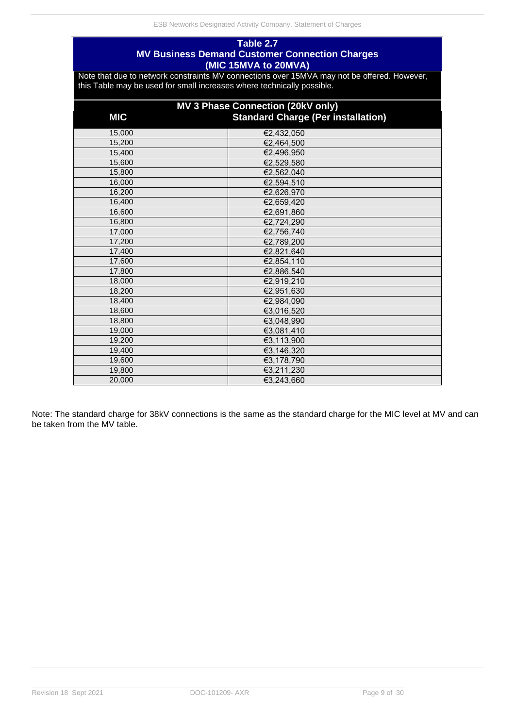### **Table 2.7 MV Business Demand Customer Connection Charges (MIC 15MVA to 20MVA)**

Note that due to network constraints MV connections over 15MVA may not be offered. However, this Table may be used for small increases where technically possible.

| MV 3 Phase Connection (20kV only) |                                           |  |  |  |
|-----------------------------------|-------------------------------------------|--|--|--|
| <b>MIC</b>                        | <b>Standard Charge (Per installation)</b> |  |  |  |
| 15,000                            | €2,432,050                                |  |  |  |
| 15,200                            | €2,464,500                                |  |  |  |
| 15,400                            | €2,496,950                                |  |  |  |
| 15,600                            | €2,529,580                                |  |  |  |
| 15,800                            | €2,562,040                                |  |  |  |
| 16,000                            | €2,594,510                                |  |  |  |
| 16,200                            | €2,626,970                                |  |  |  |
| 16,400                            | €2,659,420                                |  |  |  |
| 16,600                            | €2,691,860                                |  |  |  |
| 16,800                            | €2,724,290                                |  |  |  |
| 17,000                            | €2,756,740                                |  |  |  |
| 17,200                            | €2,789,200                                |  |  |  |
| 17,400                            | €2,821,640                                |  |  |  |
| 17,600                            | €2,854,110                                |  |  |  |
| 17,800                            | €2,886,540                                |  |  |  |
| 18,000                            | €2,919,210                                |  |  |  |
| 18,200                            | €2,951,630                                |  |  |  |
| 18,400                            | €2,984,090                                |  |  |  |
| 18,600                            | €3,016,520                                |  |  |  |
| 18,800                            | €3,048,990                                |  |  |  |
| 19,000                            | €3,081,410                                |  |  |  |
| 19,200                            | €3,113,900                                |  |  |  |
| 19,400                            | €3,146,320                                |  |  |  |
| 19,600                            | €3,178,790                                |  |  |  |
| 19,800                            | €3,211,230                                |  |  |  |
| 20,000                            | €3,243,660                                |  |  |  |

Note: The standard charge for 38kV connections is the same as the standard charge for the MIC level at MV and can be taken from the MV table.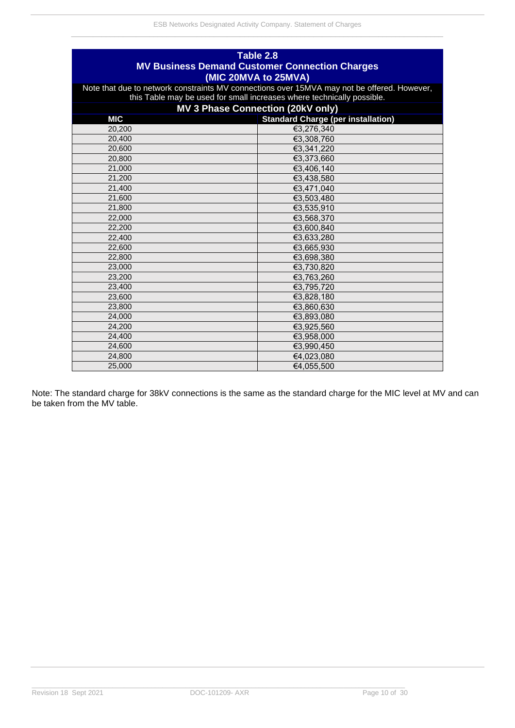| Table 2.8<br><b>MV Business Demand Customer Connection Charges</b><br>(MIC 20MVA to 25MVA) |                                                                                                                                                                       |  |  |  |  |
|--------------------------------------------------------------------------------------------|-----------------------------------------------------------------------------------------------------------------------------------------------------------------------|--|--|--|--|
|                                                                                            | Note that due to network constraints MV connections over 15MVA may not be offered. However,<br>this Table may be used for small increases where technically possible. |  |  |  |  |
|                                                                                            | MV 3 Phase Connection (20kV only)                                                                                                                                     |  |  |  |  |
| <b>MIC</b>                                                                                 | <b>Standard Charge (per installation)</b>                                                                                                                             |  |  |  |  |
| 20.200                                                                                     | €3,276,340                                                                                                                                                            |  |  |  |  |
| 20,400                                                                                     | €3,308,760                                                                                                                                                            |  |  |  |  |
| 20,600                                                                                     | €3,341,220                                                                                                                                                            |  |  |  |  |
| 20,800                                                                                     | €3,373,660                                                                                                                                                            |  |  |  |  |
| 21,000                                                                                     | €3,406,140                                                                                                                                                            |  |  |  |  |
| 21,200                                                                                     | €3,438,580                                                                                                                                                            |  |  |  |  |
| 21,400                                                                                     | €3,471,040                                                                                                                                                            |  |  |  |  |
| 21,600                                                                                     | €3,503,480                                                                                                                                                            |  |  |  |  |
| 21,800                                                                                     | €3,535,910                                                                                                                                                            |  |  |  |  |
| 22,000                                                                                     | €3,568,370                                                                                                                                                            |  |  |  |  |
| 22,200                                                                                     | €3,600,840                                                                                                                                                            |  |  |  |  |
| 22,400                                                                                     | €3,633,280                                                                                                                                                            |  |  |  |  |
| 22,600                                                                                     | €3,665,930                                                                                                                                                            |  |  |  |  |
| 22,800                                                                                     | €3,698,380                                                                                                                                                            |  |  |  |  |
| 23,000                                                                                     | €3,730,820                                                                                                                                                            |  |  |  |  |
| 23,200                                                                                     | €3,763,260                                                                                                                                                            |  |  |  |  |
| 23,400                                                                                     | €3,795,720                                                                                                                                                            |  |  |  |  |
| 23,600                                                                                     | €3,828,180                                                                                                                                                            |  |  |  |  |
| 23,800                                                                                     | €3,860,630                                                                                                                                                            |  |  |  |  |
| 24,000                                                                                     | €3,893,080                                                                                                                                                            |  |  |  |  |
| 24,200                                                                                     | €3,925,560                                                                                                                                                            |  |  |  |  |
| 24,400                                                                                     | €3,958,000                                                                                                                                                            |  |  |  |  |
| 24,600                                                                                     | €3,990,450                                                                                                                                                            |  |  |  |  |
| 24,800                                                                                     | €4,023,080                                                                                                                                                            |  |  |  |  |
| 25,000                                                                                     | €4,055,500                                                                                                                                                            |  |  |  |  |

<span id="page-11-0"></span>Note: The standard charge for 38kV connections is the same as the standard charge for the MIC level at MV and can be taken from the MV table.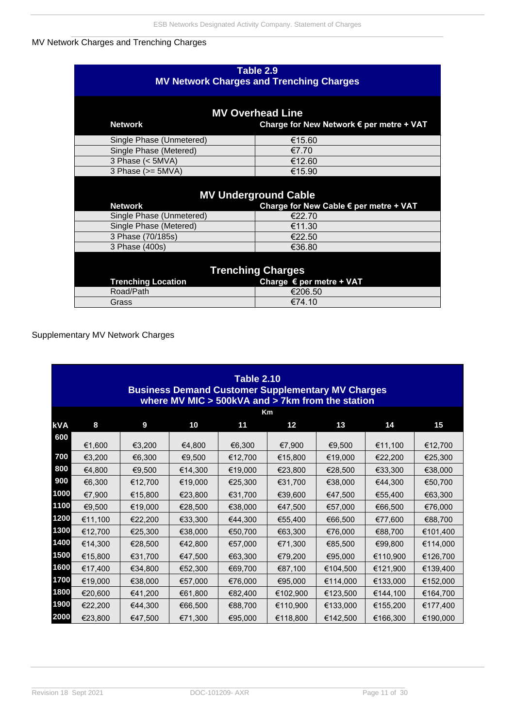#### MV Network Charges and Trenching Charges

| Table 2.9<br><b>MV Network Charges and Trenching Charges</b>                          |                                                                       |  |  |  |
|---------------------------------------------------------------------------------------|-----------------------------------------------------------------------|--|--|--|
| <b>MV Overhead Line</b><br><b>Network</b><br>Charge for New Network € per metre + VAT |                                                                       |  |  |  |
| Single Phase (Unmetered)                                                              | €15.60                                                                |  |  |  |
| Single Phase (Metered)                                                                | €7.70                                                                 |  |  |  |
| 3 Phase $(<5MVA)$                                                                     | €12.60                                                                |  |  |  |
| 3 Phase $(>= 5MVA)$                                                                   | €15.90                                                                |  |  |  |
| <b>Network</b>                                                                        | <b>MV Underground Cable</b><br>Charge for New Cable € per metre + VAT |  |  |  |
| Single Phase (Unmetered)                                                              | €22.70                                                                |  |  |  |
| Single Phase (Metered)                                                                | €11.30                                                                |  |  |  |
| 3 Phase (70/185s)                                                                     | €22.50                                                                |  |  |  |
| 3 Phase (400s)                                                                        | €36.80                                                                |  |  |  |
| <b>Trenching Charges</b>                                                              |                                                                       |  |  |  |
|                                                                                       | <b>Trenching Location</b><br>Charge € per metre + VAT                 |  |  |  |
| Road/Path                                                                             | €206.50                                                               |  |  |  |
| Grass                                                                                 | €74.10                                                                |  |  |  |

### <span id="page-12-0"></span>Supplementary MV Network Charges

|            | <b>Table 2.10</b><br><b>Business Demand Customer Supplementary MV Charges</b><br>where MV MIC $>$ 500kVA and $>$ 7km from the station |         |         |         |                 |          |          |          |
|------------|---------------------------------------------------------------------------------------------------------------------------------------|---------|---------|---------|-----------------|----------|----------|----------|
|            |                                                                                                                                       |         |         |         | Km              |          |          |          |
| <b>kVA</b> | 8                                                                                                                                     | 9       | 10      | 11      | 12 <sub>2</sub> | 13       | 14       | 15       |
| 600        | €1,600                                                                                                                                | €3,200  | €4,800  | €6,300  | €7,900          | €9,500   | €11,100  | €12,700  |
| 700        | €3,200                                                                                                                                | €6,300  | €9,500  | €12,700 | €15,800         | €19,000  | €22,200  | €25,300  |
| 800        | €4,800                                                                                                                                | €9,500  | €14,300 | €19,000 | €23,800         | €28,500  | €33,300  | €38,000  |
| 900        | €6,300                                                                                                                                | €12,700 | €19,000 | €25,300 | €31,700         | €38,000  | €44,300  | €50,700  |
| 1000       | €7,900                                                                                                                                | €15,800 | €23,800 | €31,700 | €39,600         | €47,500  | €55,400  | €63,300  |
| 1100       | €9,500                                                                                                                                | €19,000 | €28,500 | €38,000 | €47,500         | €57,000  | €66,500  | €76,000  |
| 1200       | €11,100                                                                                                                               | €22,200 | €33,300 | €44,300 | €55,400         | €66,500  | €77,600  | €88,700  |
| 1300       | €12,700                                                                                                                               | €25,300 | €38,000 | €50,700 | €63,300         | €76,000  | €88,700  | €101,400 |
| 1400       | €14,300                                                                                                                               | €28,500 | €42,800 | €57,000 | €71,300         | €85,500  | €99,800  | €114,000 |
| 1500       | €15,800                                                                                                                               | €31,700 | €47,500 | €63,300 | €79,200         | €95,000  | €110,900 | €126,700 |
| 1600       | €17,400                                                                                                                               | €34,800 | €52,300 | €69,700 | €87,100         | €104,500 | €121,900 | €139,400 |
| 1700       | €19,000                                                                                                                               | €38,000 | €57,000 | €76,000 | €95,000         | €114,000 | €133,000 | €152,000 |
| 1800       | €20,600                                                                                                                               | €41,200 | €61,800 | €82,400 | €102,900        | €123,500 | €144,100 | €164,700 |
| 1900       | €22,200                                                                                                                               | €44,300 | €66,500 | €88,700 | €110,900        | €133,000 | €155,200 | €177,400 |
| 2000       | €23,800                                                                                                                               | €47,500 | €71,300 | €95,000 | €118,800        | €142,500 | €166,300 | €190,000 |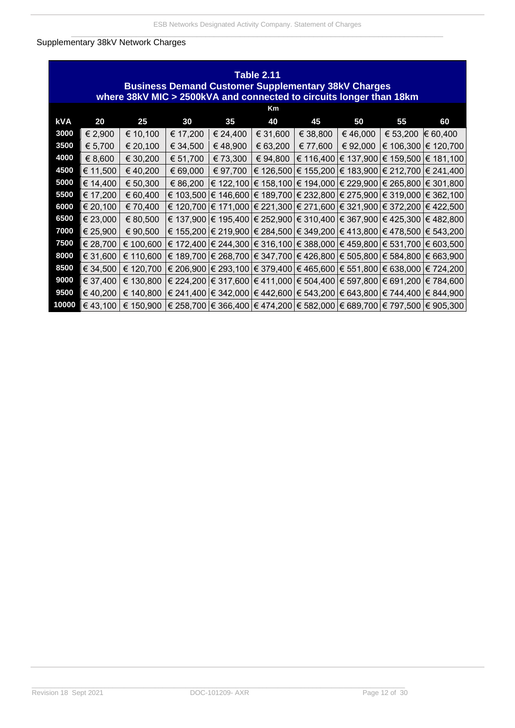### <span id="page-13-0"></span>Supplementary 38kV Network Charges

|       | <b>Table 2.11</b><br><b>Business Demand Customer Supplementary 38kV Charges</b><br>where 38kV MIC > 2500kVA and connected to circuits longer than 18km |                                                                                               |          |          |          |                                                                                                                   |          |                                         |                                                                                                   |
|-------|--------------------------------------------------------------------------------------------------------------------------------------------------------|-----------------------------------------------------------------------------------------------|----------|----------|----------|-------------------------------------------------------------------------------------------------------------------|----------|-----------------------------------------|---------------------------------------------------------------------------------------------------|
|       |                                                                                                                                                        |                                                                                               |          |          | Km       |                                                                                                                   |          |                                         |                                                                                                   |
| kVA   | 20                                                                                                                                                     | 25                                                                                            | 30       | 35       | 40       | 45                                                                                                                | 50       | 55                                      | 60                                                                                                |
| 3000  | € 2,900                                                                                                                                                | € 10,100                                                                                      | € 17,200 | € 24,400 | € 31,600 | € 38,800                                                                                                          | € 46,000 | € 53,200                                | € 60,400                                                                                          |
| 3500  | € 5,700                                                                                                                                                | € 20,100                                                                                      | € 34,500 | € 48,900 | 63,200   | € 77,600                                                                                                          | € 92,000 |                                         | € 106,300 € 120,700                                                                               |
| 4000  | € 8,600                                                                                                                                                | € 30,200                                                                                      | € 51,700 | € 73,300 | € 94,800 |                                                                                                                   |          | € 116,400 € 137,900 € 159,500 € 181,100 |                                                                                                   |
| 4500  | € 11,500                                                                                                                                               | €40,200                                                                                       | € 69,000 | € 97,700 |          | € 126,500 $\in$ 155,200 $\in$ 183,900 $\in$ 212,700 $\in$ 241,400                                                 |          |                                         |                                                                                                   |
| 5000  | € 14,400                                                                                                                                               | € 50,300                                                                                      | € 86,200 |          |          | € 122,100 $\in$ 158,100 $\in$ 194,000 $\in$ 229,900 $\in$ 265,800 $\in$ 301,800                                   |          |                                         |                                                                                                   |
| 5500  | € 17,200                                                                                                                                               | € 60,400                                                                                      |          |          |          | € 103,500   € 146,600   € 189,700   € 232,800   € 275,900   € 319,000   € 362,100                                 |          |                                         |                                                                                                   |
| 6000  | € 20,100                                                                                                                                               | € 70,400                                                                                      |          |          |          | € 120,700 $\in$ 171,000 $\in$ 221,300 $\in$ 271,600 $\in$ 321,900 $\in$ 372,200 $\in$ 422,500                     |          |                                         |                                                                                                   |
| 6500  | € 23,000                                                                                                                                               | € 80,500                                                                                      |          |          |          | € 137,900 $\in$ 195,400 $\in$ 252,900 $\in$ 310,400 $\in$ 367,900 $\in$ 425,300 $\in$ 482,800                     |          |                                         |                                                                                                   |
| 7000  | € 25,900                                                                                                                                               | € 90,500                                                                                      |          |          |          | € 155,200 $\in$ 219,900 $\models$ 284,500 $\models$ 349,200 $\models$ 413,800 $\models$ 478,500 $\models$ 543,200 |          |                                         |                                                                                                   |
| 7500  | € 28,700                                                                                                                                               | € 100,600                                                                                     |          |          |          | € 172,400 $\in$ 244,300 $\in$ 316,100 $\in$ 388,000 $\in$ 459,800 $\in$ 531,700 $\in$ 603,500                     |          |                                         |                                                                                                   |
| 8000  | € 31,600                                                                                                                                               | € 110,600                                                                                     |          |          |          | € 189,700   € 268,700   € 347,700   € 426,800   € 505,800   € 584,800   € 663,900                                 |          |                                         |                                                                                                   |
| 8500  | € 34,500                                                                                                                                               | € 120,700                                                                                     |          |          |          | € 206,900   € 293,100   € 379,400   € 465,600   € 551,800   € 638,000   € 724,200                                 |          |                                         |                                                                                                   |
| 9000  | € 37,400                                                                                                                                               | € 130,800                                                                                     |          |          |          | $\in$ 224,200 $ \in$ 317,600 $ \in$ 411,000 $ \in$ 504,400 $ \in$ 597,800 $ \in$ 691,200 $ \in$ 784,600           |          |                                         |                                                                                                   |
| 9500  | €40,200                                                                                                                                                | € 140,800                                                                                     |          |          |          |                                                                                                                   |          |                                         | $\in$ 241,400 $\in$ 342,000 $\in$ 442,600 $\in$ 543,200 $\in$ 643,800 $\in$ 744,400 $\in$ 844,900 |
| 10000 | €43,100                                                                                                                                                | € 150,900   € 258,700   € 366,400   € 474,200   € 582,000   € 689,700   € 797,500   € 905,300 |          |          |          |                                                                                                                   |          |                                         |                                                                                                   |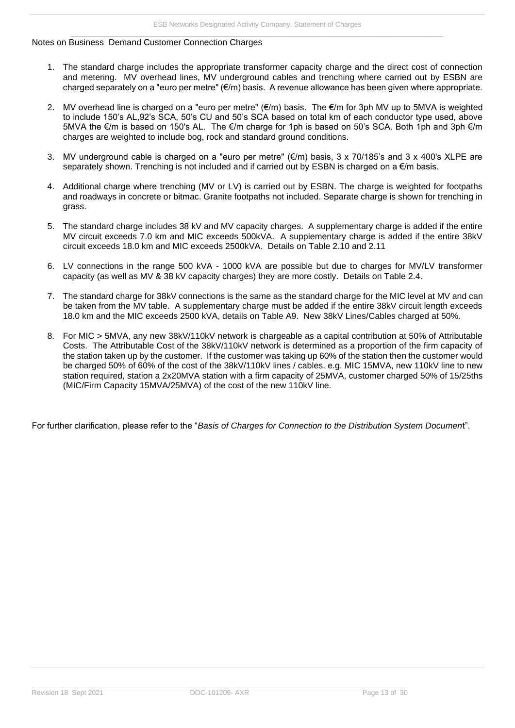#### <span id="page-14-0"></span>Notes on Business Demand Customer Connection Charges

- 1. The standard charge includes the appropriate transformer capacity charge and the direct cost of connection and metering. MV overhead lines, MV underground cables and trenching where carried out by ESBN are charged separately on a "euro per metre" (€/m) basis. A revenue allowance has been given where appropriate.
- 2. MV overhead line is charged on a "euro per metre" (€/m) basis. The €/m for 3ph MV up to 5MVA is weighted to include 150's AL,92's SCA, 50's CU and 50's SCA based on total km of each conductor type used, above 5MVA the €/m is based on 150's AL. The €/m charge for 1ph is based on 50's SCA. Both 1ph and 3ph €/m charges are weighted to include bog, rock and standard ground conditions.
- 3. MV underground cable is charged on a "euro per metre" ( $\epsilon/m$ ) basis, 3 x 70/185's and 3 x 400's XLPE are separately shown. Trenching is not included and if carried out by ESBN is charged on a  $\epsilon/m$  basis.
- 4. Additional charge where trenching (MV or LV) is carried out by ESBN. The charge is weighted for footpaths and roadways in concrete or bitmac. Granite footpaths not included. Separate charge is shown for trenching in grass.
- 5. The standard charge includes 38 kV and MV capacity charges. A supplementary charge is added if the entire MV circuit exceeds 7.0 km and MIC exceeds 500kVA. A supplementary charge is added if the entire 38kV circuit exceeds 18.0 km and MIC exceeds 2500kVA. Details on Table 2.10 and 2.11
- 6. LV connections in the range 500 kVA 1000 kVA are possible but due to charges for MV/LV transformer capacity (as well as MV & 38 kV capacity charges) they are more costly. Details on Table 2.4.
- 7. The standard charge for 38kV connections is the same as the standard charge for the MIC level at MV and can be taken from the MV table. A supplementary charge must be added if the entire 38kV circuit length exceeds 18.0 km and the MIC exceeds 2500 kVA, details on Table A9. New 38kV Lines/Cables charged at 50%.
- 8. For MIC > 5MVA, any new 38kV/110kV network is chargeable as a capital contribution at 50% of Attributable Costs. The Attributable Cost of the 38kV/110kV network is determined as a proportion of the firm capacity of the station taken up by the customer. If the customer was taking up 60% of the station then the customer would be charged 50% of 60% of the cost of the 38kV/110kV lines / cables. e.g. MIC 15MVA, new 110kV line to new station required, station a 2x20MVA station with a firm capacity of 25MVA, customer charged 50% of 15/25ths (MIC/Firm Capacity 15MVA/25MVA) of the cost of the new 110kV line.

For further clarification, please refer to the "*Basis of Charges for Connection to the Distribution System Documen*t".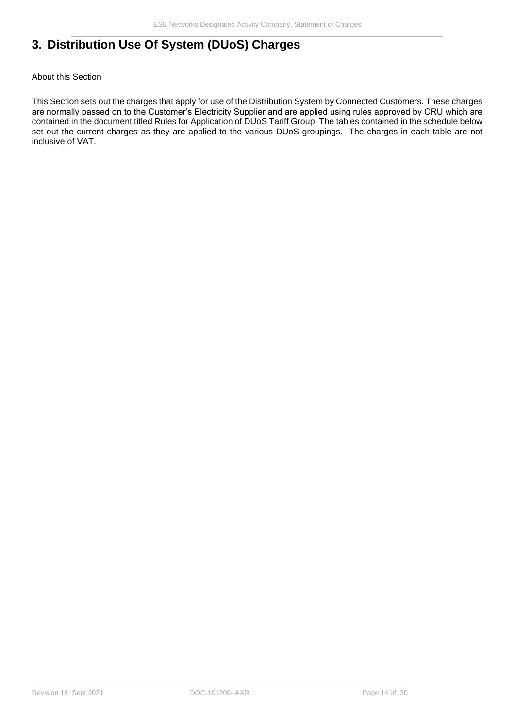# <span id="page-15-0"></span>**3. Distribution Use Of System (DUoS) Charges**

#### <span id="page-15-1"></span>About this Section

This Section sets out the charges that apply for use of the Distribution System by Connected Customers. These charges are normally passed on to the Customer's Electricity Supplier and are applied using rules approved by CRU which are contained in the document titled Rules for Application of DUoS Tariff Group. The tables contained in the schedule below set out the current charges as they are applied to the various DUoS groupings. The charges in each table are not inclusive of VAT.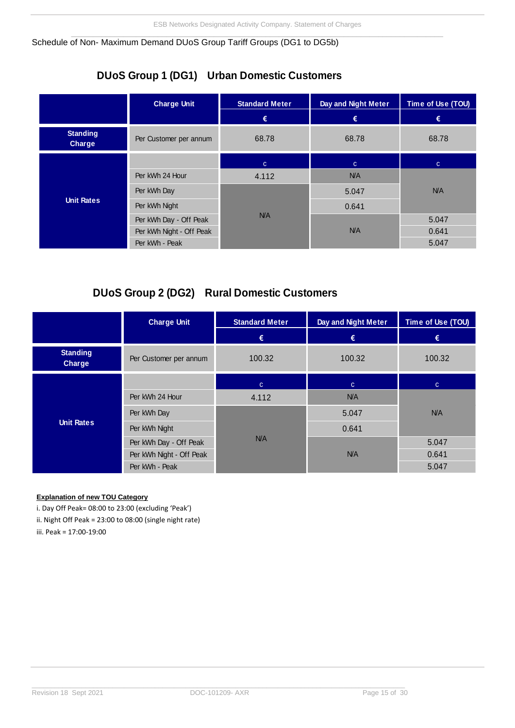<span id="page-16-0"></span>Schedule of Non- Maximum Demand DUoS Group Tariff Groups (DG1 to DG5b)

# **DUoS Group 1 (DG1) Urban Domestic Customers**

|                           | <b>Charge Unit</b>       | <b>Standard Meter</b> | Day and Night Meter | Time of Use (TOU) |
|---------------------------|--------------------------|-----------------------|---------------------|-------------------|
|                           |                          | €                     | €                   | €                 |
| <b>Standing</b><br>Charge | Per Customer per annum   | 68.78                 | 68.78               | 68.78             |
|                           |                          | $\mathbf{C}$          | $\mathbf{C}$        | $\mathbf{C}$      |
| <b>Unit Rates</b>         | Per kWh 24 Hour          | 4.112                 | N/A                 |                   |
|                           | Per kWh Day              |                       | 5.047               | N/A               |
|                           | Per kWh Night            |                       | 0.641               |                   |
|                           | Per kWh Day - Off Peak   | N/A                   |                     | 5.047             |
|                           | Per kWh Night - Off Peak |                       | N/A                 | 0.641             |
|                           | Per kWh - Peak           |                       |                     | 5.047             |

# **DUoS Group 2 (DG2) Rural Domestic Customers**

|                           | <b>Charge Unit</b>       | <b>Standard Meter</b> | Day and Night Meter | Time of Use (TOU) |
|---------------------------|--------------------------|-----------------------|---------------------|-------------------|
|                           |                          | €                     | €                   | €                 |
| <b>Standing</b><br>Charge | Per Customer per annum   | 100.32                | 100.32              | 100.32            |
|                           |                          | $\mathbf{C}$          | $\mathbf{C}$        | $\mathbf{C}$      |
| <b>Unit Rates</b>         | Per kWh 24 Hour          | 4.112                 | N/A                 |                   |
|                           | Per kWh Day              |                       | 5.047               | N/A               |
|                           | Per kWh Night            |                       | 0.641               |                   |
|                           | Per kWh Day - Off Peak   | N/A                   |                     | 5.047             |
|                           | Per kWh Night - Off Peak |                       | N/A                 | 0.641             |
|                           | Per kWh - Peak           |                       |                     | 5.047             |

#### **Explanation of new TOU Category**

i. Day Off Peak= 08:00 to 23:00 (excluding 'Peak') ii. Night Off Peak = 23:00 to 08:00 (single night rate)

iii. Peak = 17:00-19:00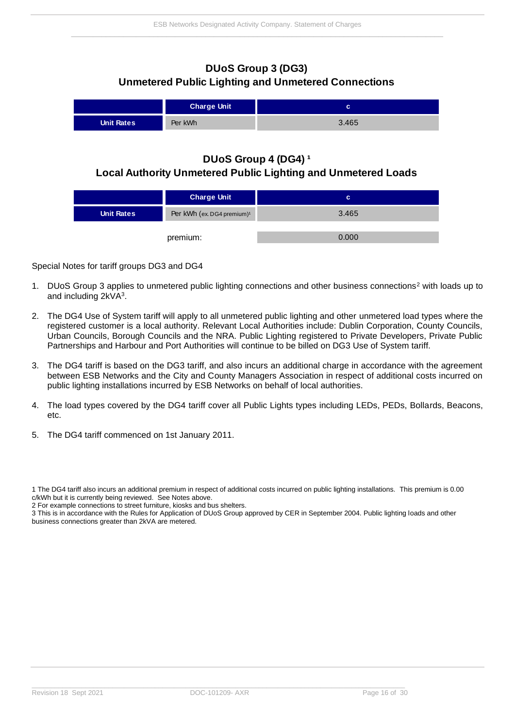### **DUoS Group 3 (DG3) Unmetered Public Lighting and Unmetered Connections**

|                   | <b>Charge Unit</b> | ⌒<br>ັ |
|-------------------|--------------------|--------|
| <b>Unit Rates</b> | Per kWh            | 3.465  |

### **DUoS Group 4 (DG4)<sup>1</sup> Local Authority Unmetered Public Lighting and Unmetered Loads**

|                   | <b>Charge Unit</b>                     | c     |
|-------------------|----------------------------------------|-------|
| <b>Unit Rates</b> | Per kWh (ex. DG4 premium) <sup>1</sup> | 3.465 |
|                   |                                        |       |
|                   | premium:                               | 0.000 |

<span id="page-17-0"></span>Special Notes for tariff groups DG3 and DG4

- 1. DUoS Group 3 applies to unmetered public lighting connections and other business connections<sup>2</sup> with loads up to and including 2kVA<sup>3</sup>.
- 2. The DG4 Use of System tariff will apply to all unmetered public lighting and other unmetered load types where the registered customer is a local authority. Relevant Local Authorities include: Dublin Corporation, County Councils, Urban Councils, Borough Councils and the NRA. Public Lighting registered to Private Developers, Private Public Partnerships and Harbour and Port Authorities will continue to be billed on DG3 Use of System tariff.
- 3. The DG4 tariff is based on the DG3 tariff, and also incurs an additional charge in accordance with the agreement between ESB Networks and the City and County Managers Association in respect of additional costs incurred on public lighting installations incurred by ESB Networks on behalf of local authorities.
- 4. The load types covered by the DG4 tariff cover all Public Lights types including LEDs, PEDs, Bollards, Beacons, etc.
- 5. The DG4 tariff commenced on 1st January 2011.

<sup>1</sup> The DG4 tariff also incurs an additional premium in respect of additional costs incurred on public lighting installations. This premium is 0.00 c/kWh but it is currently being reviewed. See Notes above.

<sup>2</sup> For example connections to street furniture, kiosks and bus shelters.

<sup>3</sup> This is in accordance with the Rules for Application of DUoS Group approved by CER in September 2004. Public lighting loads and other business connections greater than 2kVA are metered.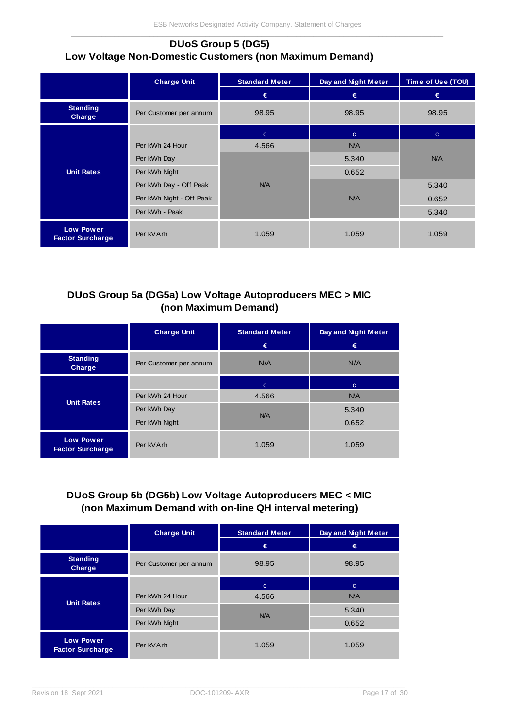### **DUoS Group 5 (DG5) Low Voltage Non-Domestic Customers (non Maximum Demand)**

|                                             | <b>Charge Unit</b>       | <b>Standard Meter</b> | Day and Night Meter | Time of Use (TOU) |
|---------------------------------------------|--------------------------|-----------------------|---------------------|-------------------|
|                                             |                          | €                     | €                   | €                 |
| <b>Standing</b><br>Charge                   | Per Customer per annum   | 98.95                 | 98.95               | 98.95             |
|                                             |                          | $\mathbf{C}$          | $\mathbf{C}$        | $\mathbf{C}$      |
|                                             | Per kWh 24 Hour          | 4.566                 | N/A                 |                   |
|                                             | Per kWh Day              |                       | 5.340               | <b>N/A</b>        |
| <b>Unit Rates</b>                           | Per kWh Night            |                       | 0.652               |                   |
|                                             | Per kWh Day - Off Peak   | N/A                   |                     | 5.340             |
|                                             | Per kWh Night - Off Peak |                       | N/A                 | 0.652             |
|                                             | Per kWh - Peak           |                       |                     | 5.340             |
| <b>Low Power</b><br><b>Factor Surcharge</b> | Per kVArh                | 1.059                 | 1.059               | 1.059             |

### **DUoS Group 5a (DG5a) Low Voltage Autoproducers MEC > MIC (non Maximum Demand)**

|                                             | <b>Charge Unit</b>     | <b>Standard Meter</b> | Day and Night Meter |
|---------------------------------------------|------------------------|-----------------------|---------------------|
|                                             |                        | €                     | €                   |
| <b>Standing</b><br>Charge                   | Per Customer per annum | N/A                   | N/A                 |
|                                             |                        | $\mathbf{C}$          | C.                  |
| <b>Unit Rates</b>                           | Per kWh 24 Hour        | 4.566                 | <b>N/A</b>          |
|                                             | Per kWh Day            | N/A                   | 5.340               |
|                                             | Per kWh Night          |                       | 0.652               |
| <b>Low Power</b><br><b>Factor Surcharge</b> | Per kVArh              | 1.059                 | 1.059               |

## **DUoS Group 5b (DG5b) Low Voltage Autoproducers MEC < MIC (non Maximum Demand with on-line QH interval metering)**

|                                             | <b>Charge Unit</b>     | <b>Standard Meter</b> |              |
|---------------------------------------------|------------------------|-----------------------|--------------|
|                                             |                        | €                     | €            |
| <b>Standing</b><br><b>Charge</b>            | Per Customer per annum | 98.95                 | 98.95        |
|                                             |                        | $\mathbf{C}$          | $\mathbf{C}$ |
|                                             | Per kWh 24 Hour        | 4.566                 | <b>N/A</b>   |
| <b>Unit Rates</b>                           | Per kWh Day            | N/A                   | 5.340        |
|                                             | Per kWh Night          |                       | 0.652        |
| <b>Low Power</b><br><b>Factor Surcharge</b> | Per kVArh              | 1.059                 | 1.059        |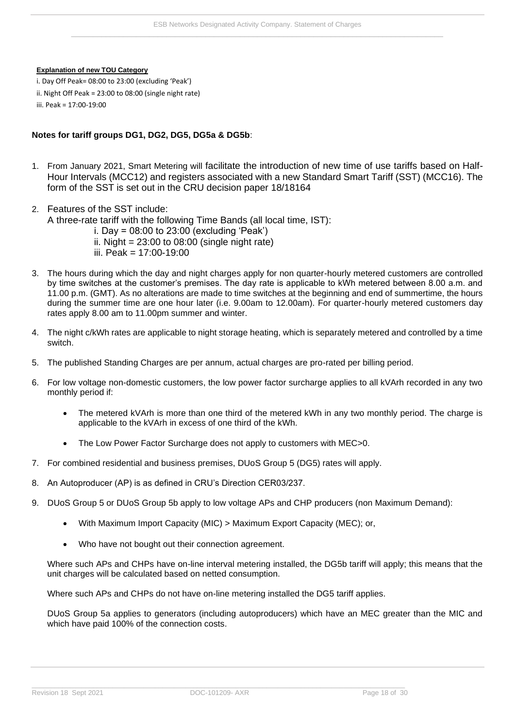#### **Explanation of new TOU Category**

i. Day Off Peak= 08:00 to 23:00 (excluding 'Peak') ii. Night Off Peak = 23:00 to 08:00 (single night rate) iii. Peak = 17:00-19:00

#### **Notes for tariff groups DG1, DG2, DG5, DG5a & DG5b**:

- 1. From January 2021, Smart Metering will facilitate the introduction of new time of use tariffs based on Half-Hour Intervals (MCC12) and registers associated with a new Standard Smart Tariff (SST) (MCC16). The form of the SST is set out in the CRU decision paper 18/18164
- 2. Features of the SST include: A three-rate tariff with the following Time Bands (all local time, IST):
	- i. Day =  $08:00$  to 23:00 (excluding 'Peak')
		- ii. Night =  $23:00$  to  $08:00$  (single night rate)
		- iii. Peak = 17:00-19:00
- 3. The hours during which the day and night charges apply for non quarter-hourly metered customers are controlled by time switches at the customer's premises. The day rate is applicable to kWh metered between 8.00 a.m. and 11.00 p.m. (GMT). As no alterations are made to time switches at the beginning and end of summertime, the hours during the summer time are one hour later (i.e. 9.00am to 12.00am). For quarter-hourly metered customers day rates apply 8.00 am to 11.00pm summer and winter.
- 4. The night c/kWh rates are applicable to night storage heating, which is separately metered and controlled by a time switch.
- 5. The published Standing Charges are per annum, actual charges are pro-rated per billing period.
- 6. For low voltage non-domestic customers, the low power factor surcharge applies to all kVArh recorded in any two monthly period if:
	- The metered kVArh is more than one third of the metered kWh in any two monthly period. The charge is applicable to the kVArh in excess of one third of the kWh.
	- The Low Power Factor Surcharge does not apply to customers with MEC>0.
- 7. For combined residential and business premises, DUoS Group 5 (DG5) rates will apply.
- 8. An Autoproducer (AP) is as defined in CRU's Direction CER03/237.
- 9. DUoS Group 5 or DUoS Group 5b apply to low voltage APs and CHP producers (non Maximum Demand):
	- With Maximum Import Capacity (MIC) > Maximum Export Capacity (MEC); or,
	- Who have not bought out their connection agreement.

Where such APs and CHPs have on-line interval metering installed, the DG5b tariff will apply; this means that the unit charges will be calculated based on netted consumption.

Where such APs and CHPs do not have on-line metering installed the DG5 tariff applies.

DUoS Group 5a applies to generators (including autoproducers) which have an MEC greater than the MIC and which have paid 100% of the connection costs.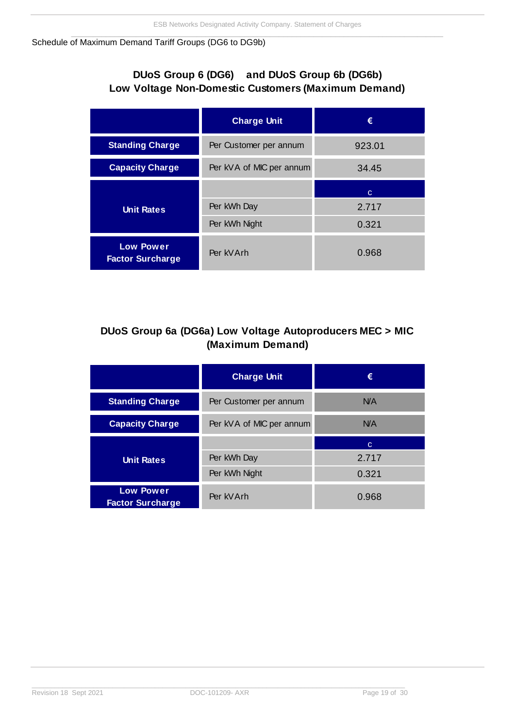#### <span id="page-20-0"></span>Schedule of Maximum Demand Tariff Groups (DG6 to DG9b)

# **DUoS Group 6 (DG6) and DUoS Group 6b (DG6b) Low Voltage Non-Domestic Customers (Maximum Demand)**

|                                             | <b>Charge Unit</b>       | €      |
|---------------------------------------------|--------------------------|--------|
| <b>Standing Charge</b>                      | Per Customer per annum   | 923.01 |
| <b>Capacity Charge</b>                      | Per kVA of MIC per annum | 34.45  |
|                                             |                          | C.     |
| <b>Unit Rates</b>                           | Per kWh Day              | 2.717  |
|                                             | Per kWh Night            | 0.321  |
| <b>Low Power</b><br><b>Factor Surcharge</b> | Per kVArh                | 0.968  |

# **DUoS Group 6a (DG6a) Low Voltage Autoproducers MEC > MIC (Maximum Demand)**

|                                             | <b>Charge Unit</b>       | €     |
|---------------------------------------------|--------------------------|-------|
| <b>Standing Charge</b>                      | Per Customer per annum   | N/A   |
| <b>Capacity Charge</b>                      | Per kVA of MIC per annum | N/A   |
|                                             |                          | C     |
| <b>Unit Rates</b>                           | Per kWh Day              | 2.717 |
|                                             | Per kWh Night            | 0.321 |
| <b>Low Power</b><br><b>Factor Surcharge</b> | Per kVArh                | 0.968 |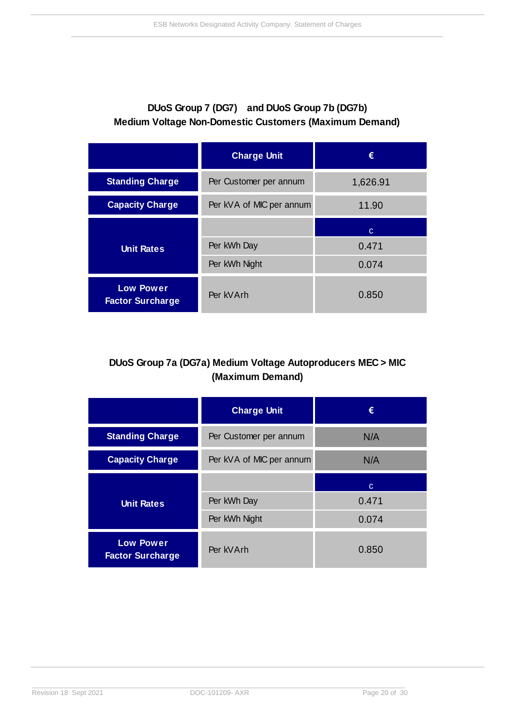# **DUoS Group 7 (DG7) and DUoS Group 7b (DG7b) Medium Voltage Non-Domestic Customers (Maximum Demand)**

|                                             | <b>Charge Unit</b>                | €        |
|---------------------------------------------|-----------------------------------|----------|
| <b>Standing Charge</b>                      | Per Customer per annum            | 1,626.91 |
| <b>Capacity Charge</b>                      | Per kVA of MIC per annum<br>11.90 |          |
|                                             |                                   | C        |
| <b>Unit Rates</b>                           | Per kWh Day                       | 0.471    |
|                                             | Per kWh Night                     | 0.074    |
| <b>Low Power</b><br><b>Factor Surcharge</b> | Per kVArh                         | 0.850    |

# **DUoS Group 7a (DG7a) Medium Voltage Autoproducers MEC > MIC (Maximum Demand)**

|                                             | <b>Charge Unit</b>       | €     |
|---------------------------------------------|--------------------------|-------|
| <b>Standing Charge</b>                      | Per Customer per annum   | N/A   |
| <b>Capacity Charge</b>                      | Per kVA of MIC per annum | N/A   |
|                                             |                          | C     |
| <b>Unit Rates</b>                           | Per kWh Day              | 0.471 |
|                                             | Per kWh Night            | 0.074 |
| <b>Low Power</b><br><b>Factor Surcharge</b> | Per kVArh                | 0.850 |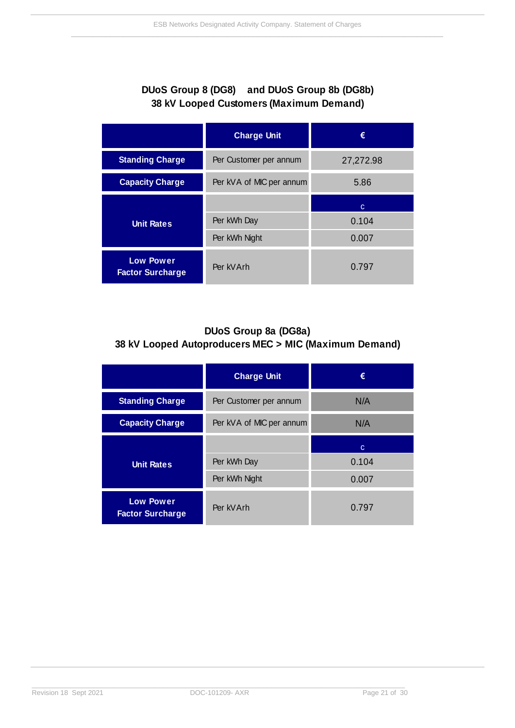# **DUoS Group 8 (DG8) and DUoS Group 8b (DG8b) 38 kV Looped Customers (Maximum Demand)**

|                                             | <b>Charge Unit</b>               | €         |
|---------------------------------------------|----------------------------------|-----------|
| <b>Standing Charge</b>                      | Per Customer per annum           | 27,272.98 |
| <b>Capacity Charge</b>                      | Per kVA of MIC per annum<br>5.86 |           |
|                                             |                                  | C         |
| <b>Unit Rates</b>                           | Per kWh Day                      | 0.104     |
|                                             | Per kWh Night                    | 0.007     |
| <b>Low Power</b><br><b>Factor Surcharge</b> | Per kVArh                        | 0.797     |

# **DUoS Group 8a (DG8a) 38 kV Looped Autoproducers MEC > MIC (Maximum Demand)**

|                                             | <b>Charge Unit</b>              | €     |
|---------------------------------------------|---------------------------------|-------|
| <b>Standing Charge</b>                      | Per Customer per annum          | N/A   |
| <b>Capacity Charge</b>                      | Per kVA of MIC per annum<br>N/A |       |
|                                             |                                 | C     |
| <b>Unit Rates</b>                           | Per kWh Day                     | 0.104 |
|                                             | Per kWh Night                   | 0.007 |
| <b>Low Power</b><br><b>Factor Surcharge</b> | Per kVArh                       | 0.797 |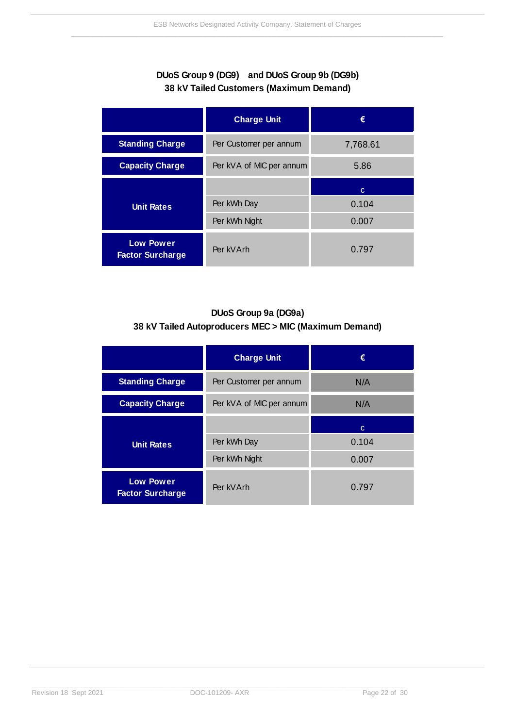### **DUoS Group 9 (DG9) and DUoS Group 9b (DG9b) 38 kV Tailed Customers (Maximum Demand)**

|                                             | <b>Charge Unit</b>               | €        |
|---------------------------------------------|----------------------------------|----------|
| <b>Standing Charge</b>                      | Per Customer per annum           | 7,768.61 |
| <b>Capacity Charge</b>                      | Per kVA of MIC per annum<br>5.86 |          |
|                                             |                                  | C        |
| <b>Unit Rates</b>                           | Per kWh Day                      | 0.104    |
|                                             | Per kWh Night                    | 0.007    |
| <b>Low Power</b><br><b>Factor Surcharge</b> | Per kVArh                        | 0.797    |

## **DUoS Group 9a (DG9a) 38 kV Tailed Autoproducers MEC > MIC (Maximum Demand)**

|                                             | <b>Charge Unit</b>              | €     |
|---------------------------------------------|---------------------------------|-------|
| <b>Standing Charge</b>                      | Per Customer per annum          | N/A   |
| <b>Capacity Charge</b>                      | Per kVA of MIC per annum<br>N/A |       |
|                                             |                                 | C     |
| <b>Unit Rates</b>                           | Per kWh Day                     | 0.104 |
|                                             | Per kWh Night                   | 0.007 |
| <b>Low Power</b><br><b>Factor Surcharge</b> | Per kVArh                       | 0.797 |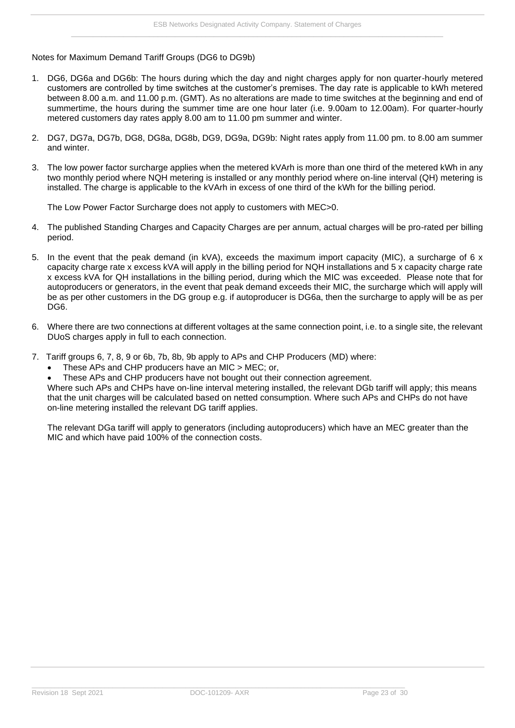<span id="page-24-0"></span>Notes for Maximum Demand Tariff Groups (DG6 to DG9b)

- 1. DG6, DG6a and DG6b: The hours during which the day and night charges apply for non quarter-hourly metered customers are controlled by time switches at the customer's premises. The day rate is applicable to kWh metered between 8.00 a.m. and 11.00 p.m. (GMT). As no alterations are made to time switches at the beginning and end of summertime, the hours during the summer time are one hour later (i.e. 9.00am to 12.00am). For quarter-hourly metered customers day rates apply 8.00 am to 11.00 pm summer and winter.
- 2. DG7, DG7a, DG7b, DG8, DG8a, DG8b, DG9, DG9a, DG9b: Night rates apply from 11.00 pm. to 8.00 am summer and winter.
- 3. The low power factor surcharge applies when the metered kVArh is more than one third of the metered kWh in any two monthly period where NQH metering is installed or any monthly period where on-line interval (QH) metering is installed. The charge is applicable to the kVArh in excess of one third of the kWh for the billing period.

The Low Power Factor Surcharge does not apply to customers with MEC>0.

- 4. The published Standing Charges and Capacity Charges are per annum, actual charges will be pro-rated per billing period.
- 5. In the event that the peak demand (in kVA), exceeds the maximum import capacity (MIC), a surcharge of 6 x capacity charge rate x excess kVA will apply in the billing period for NQH installations and 5 x capacity charge rate x excess kVA for QH installations in the billing period, during which the MIC was exceeded. Please note that for autoproducers or generators, in the event that peak demand exceeds their MIC, the surcharge which will apply will be as per other customers in the DG group e.g. if autoproducer is DG6a, then the surcharge to apply will be as per DG<sub>6</sub>.
- 6. Where there are two connections at different voltages at the same connection point, i.e. to a single site, the relevant DUoS charges apply in full to each connection.
- 7. Tariff groups 6, 7, 8, 9 or 6b, 7b, 8b, 9b apply to APs and CHP Producers (MD) where:
	- These APs and CHP producers have an MIC > MEC; or,
	- These APs and CHP producers have not bought out their connection agreement.

Where such APs and CHPs have on-line interval metering installed, the relevant DGb tariff will apply; this means that the unit charges will be calculated based on netted consumption. Where such APs and CHPs do not have on-line metering installed the relevant DG tariff applies.

The relevant DGa tariff will apply to generators (including autoproducers) which have an MEC greater than the MIC and which have paid 100% of the connection costs.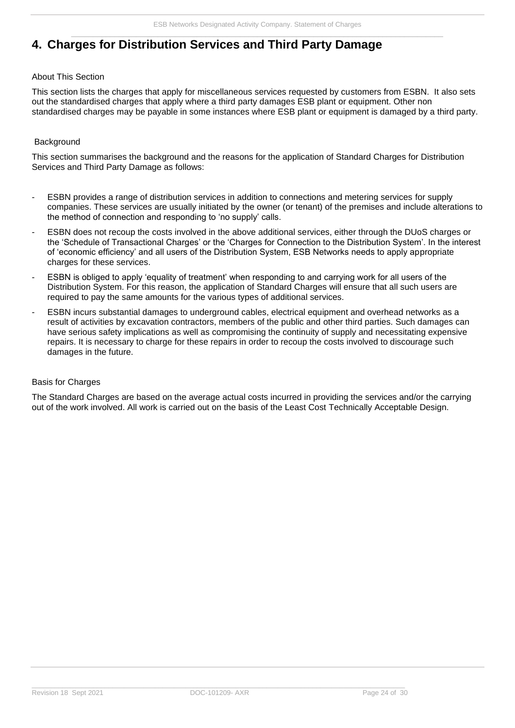# <span id="page-25-0"></span>**4. Charges for Distribution Services and Third Party Damage**

#### <span id="page-25-1"></span>About This Section

This section lists the charges that apply for miscellaneous services requested by customers from ESBN. It also sets out the standardised charges that apply where a third party damages ESB plant or equipment. Other non standardised charges may be payable in some instances where ESB plant or equipment is damaged by a third party.

#### <span id="page-25-2"></span>**Background**

This section summarises the background and the reasons for the application of Standard Charges for Distribution Services and Third Party Damage as follows:

- ESBN provides a range of distribution services in addition to connections and metering services for supply companies. These services are usually initiated by the owner (or tenant) of the premises and include alterations to the method of connection and responding to 'no supply' calls.
- ESBN does not recoup the costs involved in the above additional services, either through the DUoS charges or the 'Schedule of Transactional Charges' or the 'Charges for Connection to the Distribution System'. In the interest of 'economic efficiency' and all users of the Distribution System, ESB Networks needs to apply appropriate charges for these services.
- ESBN is obliged to apply 'equality of treatment' when responding to and carrying work for all users of the Distribution System. For this reason, the application of Standard Charges will ensure that all such users are required to pay the same amounts for the various types of additional services.
- ESBN incurs substantial damages to underground cables, electrical equipment and overhead networks as a result of activities by excavation contractors, members of the public and other third parties. Such damages can have serious safety implications as well as compromising the continuity of supply and necessitating expensive repairs. It is necessary to charge for these repairs in order to recoup the costs involved to discourage such damages in the future.

#### <span id="page-25-3"></span>Basis for Charges

The Standard Charges are based on the average actual costs incurred in providing the services and/or the carrying out of the work involved. All work is carried out on the basis of the Least Cost Technically Acceptable Design.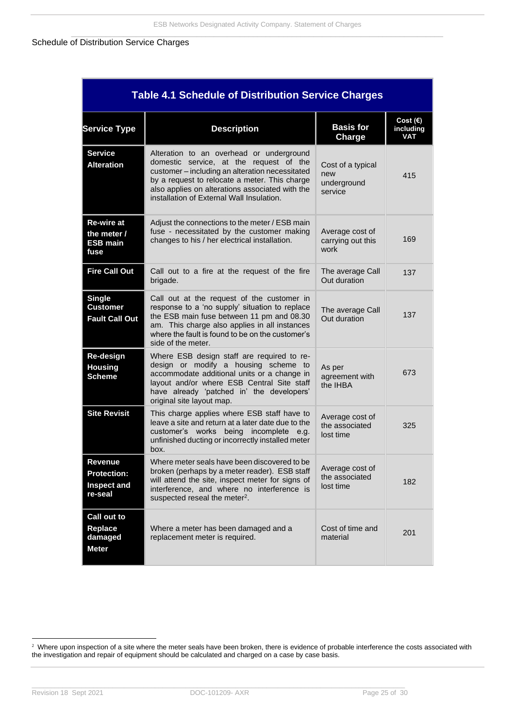#### <span id="page-26-0"></span>Schedule of Distribution Service Charges

| <b>Table 4.1 Schedule of Distribution Service Charges</b>      |                                                                                                                                                                                                                                                                                         |                                                    |                                              |
|----------------------------------------------------------------|-----------------------------------------------------------------------------------------------------------------------------------------------------------------------------------------------------------------------------------------------------------------------------------------|----------------------------------------------------|----------------------------------------------|
| <b>Service Type</b>                                            | <b>Description</b>                                                                                                                                                                                                                                                                      | <b>Basis for</b><br>Charge                         | Cost $(\epsilon)$<br>including<br><b>VAT</b> |
| <b>Service</b><br><b>Alteration</b>                            | Alteration to an overhead or underground<br>domestic service, at the request of the<br>customer - including an alteration necessitated<br>by a request to relocate a meter. This charge<br>also applies on alterations associated with the<br>installation of External Wall Insulation. | Cost of a typical<br>new<br>underground<br>service | 415                                          |
| Re-wire at<br>the meter /<br><b>ESB main</b><br>fuse           | Adjust the connections to the meter / ESB main<br>fuse - necessitated by the customer making<br>changes to his / her electrical installation.                                                                                                                                           | Average cost of<br>carrying out this<br>work       | 169                                          |
| <b>Fire Call Out</b>                                           | Call out to a fire at the request of the fire<br>brigade.                                                                                                                                                                                                                               | The average Call<br>Out duration                   | 137                                          |
| <b>Single</b><br>Customer<br><b>Fault Call Out</b>             | Call out at the request of the customer in<br>response to a 'no supply' situation to replace<br>the ESB main fuse between 11 pm and 08.30<br>am. This charge also applies in all instances<br>where the fault is found to be on the customer's<br>side of the meter.                    | The average Call<br>Out duration                   | 137                                          |
| Re-design<br><b>Housing</b><br><b>Scheme</b>                   | Where ESB design staff are required to re-<br>design or modify a housing scheme to<br>accommodate additional units or a change in<br>layout and/or where ESB Central Site staff<br>have already 'patched in' the developers'<br>original site layout map.                               | As per<br>agreement with<br>the IHBA               | 673                                          |
| <b>Site Revisit</b>                                            | This charge applies where ESB staff have to<br>leave a site and return at a later date due to the<br>customer's works being incomplete e.g.<br>unfinished ducting or incorrectly installed meter<br>box.                                                                                | Average cost of<br>the associated<br>lost time     | 325                                          |
| Revenue<br><b>Protection:</b><br><b>Inspect and</b><br>re-seal | Where meter seals have been discovered to be<br>broken (perhaps by a meter reader). ESB staff<br>will attend the site, inspect meter for signs of<br>interference, and where no interference is<br>suspected reseal the meter <sup>2</sup> .                                            | Average cost of<br>the associated<br>lost time     | 182                                          |
| Call out to<br>Replace<br>damaged<br><b>Meter</b>              | Where a meter has been damaged and a<br>replacement meter is required.                                                                                                                                                                                                                  | Cost of time and<br>material                       | 201                                          |

 $2$  Where upon inspection of a site where the meter seals have been broken, there is evidence of probable interference the costs associated with the investigation and repair of equipment should be calculated and charged on a case by case basis.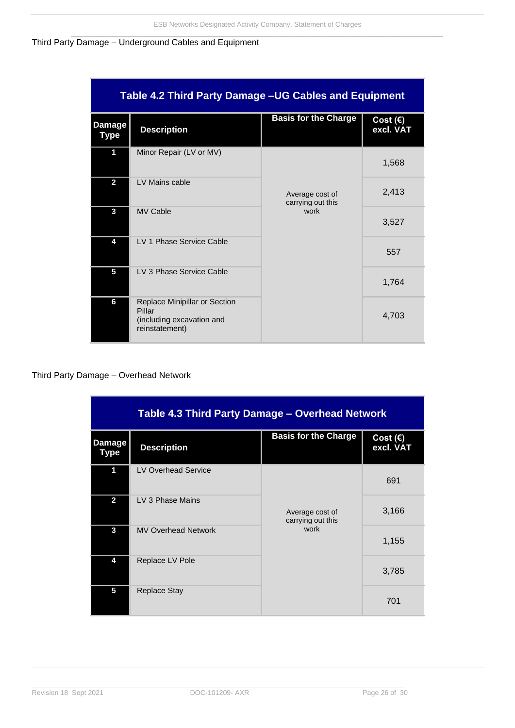#### <span id="page-27-0"></span>Third Party Damage – Underground Cables and Equipment

| <b>Table 4.2 Third Party Damage -UG Cables and Equipment</b> |                                                                                        |                                      |                                |
|--------------------------------------------------------------|----------------------------------------------------------------------------------------|--------------------------------------|--------------------------------|
| <b>Damage</b><br>Type                                        | <b>Description</b>                                                                     | <b>Basis for the Charge</b>          | Cost $(\epsilon)$<br>excl. VAT |
| 1                                                            | Minor Repair (LV or MV)                                                                |                                      | 1,568                          |
| $\overline{2}$                                               | LV Mains cable                                                                         | Average cost of<br>carrying out this | 2,413                          |
| 3                                                            | <b>MV Cable</b>                                                                        | work                                 | 3,527                          |
| 4                                                            | LV 1 Phase Service Cable                                                               |                                      | 557                            |
| 5                                                            | LV 3 Phase Service Cable                                                               |                                      | 1,764                          |
| 6                                                            | Replace Minipillar or Section<br>Pillar<br>(including excavation and<br>reinstatement) |                                      | 4,703                          |

### <span id="page-27-1"></span>Third Party Damage – Overhead Network

| Table 4.3 Third Party Damage - Overhead Network |                            |                                      |                         |
|-------------------------------------------------|----------------------------|--------------------------------------|-------------------------|
| <b>Damage</b><br><b>Type</b>                    | <b>Description</b>         | <b>Basis for the Charge</b>          | Cost $(E)$<br>excl. VAT |
| 1                                               | <b>LV Overhead Service</b> |                                      | 691                     |
| $\overline{2}$                                  | LV 3 Phase Mains           | Average cost of<br>carrying out this | 3,166                   |
| 3                                               | <b>MV Overhead Network</b> | work                                 | 1,155                   |
| 4                                               | Replace LV Pole            |                                      | 3,785                   |
| 5                                               | <b>Replace Stay</b>        |                                      | 701                     |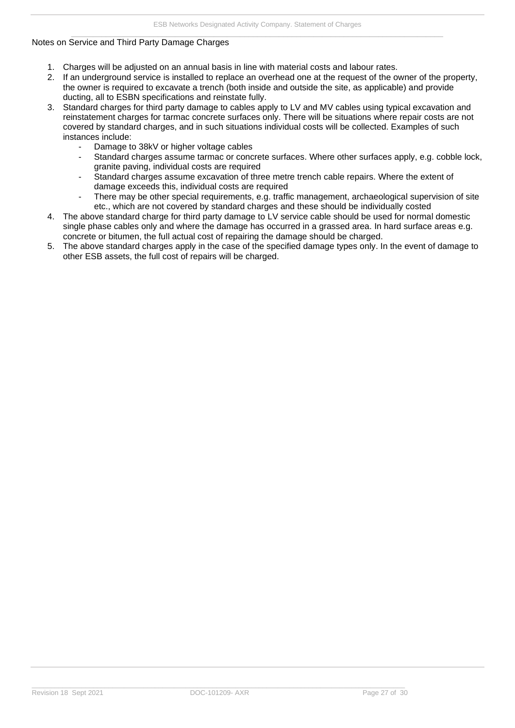#### <span id="page-28-0"></span>Notes on Service and Third Party Damage Charges

- 1. Charges will be adjusted on an annual basis in line with material costs and labour rates.
- 2. If an underground service is installed to replace an overhead one at the request of the owner of the property, the owner is required to excavate a trench (both inside and outside the site, as applicable) and provide ducting, all to ESBN specifications and reinstate fully.
- 3. Standard charges for third party damage to cables apply to LV and MV cables using typical excavation and reinstatement charges for tarmac concrete surfaces only. There will be situations where repair costs are not covered by standard charges, and in such situations individual costs will be collected. Examples of such instances include:
	- Damage to 38kV or higher voltage cables
	- Standard charges assume tarmac or concrete surfaces. Where other surfaces apply, e.g. cobble lock, granite paving, individual costs are required
	- Standard charges assume excavation of three metre trench cable repairs. Where the extent of damage exceeds this, individual costs are required
	- There may be other special requirements, e.g. traffic management, archaeological supervision of site etc., which are not covered by standard charges and these should be individually costed
- 4. The above standard charge for third party damage to LV service cable should be used for normal domestic single phase cables only and where the damage has occurred in a grassed area. In hard surface areas e.g. concrete or bitumen, the full actual cost of repairing the damage should be charged.
- 5. The above standard charges apply in the case of the specified damage types only. In the event of damage to other ESB assets, the full cost of repairs will be charged.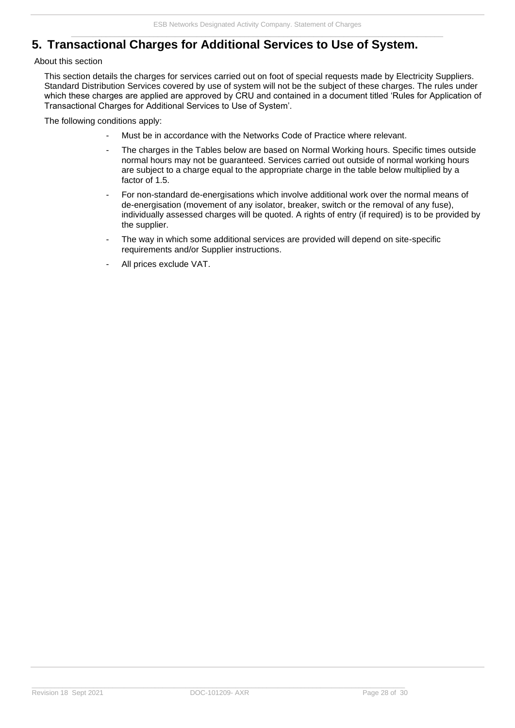# <span id="page-29-0"></span>**5. Transactional Charges for Additional Services to Use of System.**

#### <span id="page-29-1"></span>About this section

This section details the charges for services carried out on foot of special requests made by Electricity Suppliers. Standard Distribution Services covered by use of system will not be the subject of these charges. The rules under which these charges are applied are approved by CRU and contained in a document titled 'Rules for Application of Transactional Charges for Additional Services to Use of System'.

The following conditions apply:

- Must be in accordance with the Networks Code of Practice where relevant.
- The charges in the Tables below are based on Normal Working hours. Specific times outside normal hours may not be guaranteed. Services carried out outside of normal working hours are subject to a charge equal to the appropriate charge in the table below multiplied by a factor of 1.5.
- For non-standard de-energisations which involve additional work over the normal means of de-energisation (movement of any isolator, breaker, switch or the removal of any fuse), individually assessed charges will be quoted. A rights of entry (if required) is to be provided by the supplier.
- The way in which some additional services are provided will depend on site-specific requirements and/or Supplier instructions.
- All prices exclude VAT.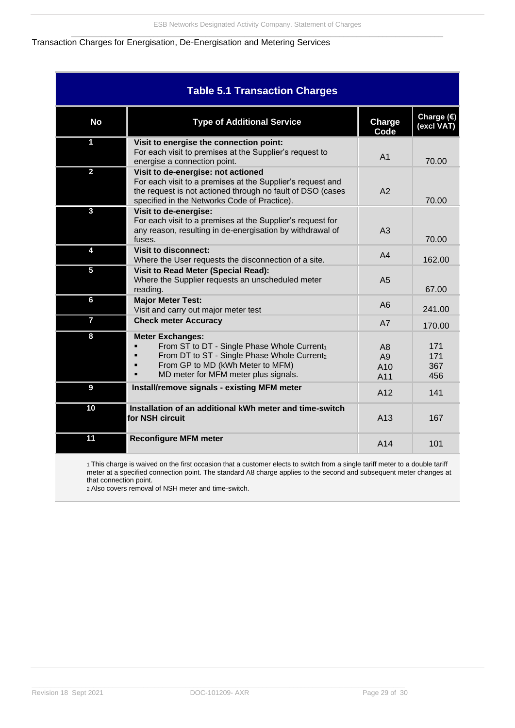#### <span id="page-30-0"></span>Transaction Charges for Energisation, De-Energisation and Metering Services

| <b>Table 5.1 Transaction Charges</b> |                                                                                                                                                                                                                |                                    |                                            |
|--------------------------------------|----------------------------------------------------------------------------------------------------------------------------------------------------------------------------------------------------------------|------------------------------------|--------------------------------------------|
| <b>No</b>                            | <b>Type of Additional Service</b>                                                                                                                                                                              | Charge<br>Code                     | Charge $\overline{\epsilon}$<br>(excl VAT) |
| $\mathbf 1$                          | Visit to energise the connection point:<br>For each visit to premises at the Supplier's request to<br>energise a connection point.                                                                             | A <sub>1</sub>                     | 70.00                                      |
| $\overline{2}$                       | Visit to de-energise: not actioned<br>For each visit to a premises at the Supplier's request and<br>the request is not actioned through no fault of DSO (cases<br>specified in the Networks Code of Practice). | A2                                 | 70.00                                      |
| 3                                    | Visit to de-energise:<br>For each visit to a premises at the Supplier's request for<br>any reason, resulting in de-energisation by withdrawal of<br>fuses.                                                     | A <sub>3</sub>                     | 70.00                                      |
| 4                                    | <b>Visit to disconnect:</b><br>Where the User requests the disconnection of a site.                                                                                                                            | A <sub>4</sub>                     | 162.00                                     |
| 5                                    | <b>Visit to Read Meter (Special Read):</b><br>Where the Supplier requests an unscheduled meter<br>reading.                                                                                                     | A <sub>5</sub>                     | 67.00                                      |
| 6                                    | <b>Major Meter Test:</b><br>Visit and carry out major meter test                                                                                                                                               | A6                                 | 241.00                                     |
| $\overline{7}$                       | <b>Check meter Accuracy</b>                                                                                                                                                                                    | A7                                 | 170.00                                     |
| 8                                    | <b>Meter Exchanges:</b><br>From ST to DT - Single Phase Whole Current1<br>From DT to ST - Single Phase Whole Current <sub>2</sub><br>From GP to MD (kWh Meter to MFM)<br>MD meter for MFM meter plus signals.  | A <sub>8</sub><br>A9<br>A10<br>A11 | 171<br>171<br>367<br>456                   |
| 9                                    | Install/remove signals - existing MFM meter                                                                                                                                                                    | A12                                | 141                                        |
| 10                                   | Installation of an additional kWh meter and time-switch<br>for NSH circuit                                                                                                                                     | A13                                | 167                                        |
| 11                                   | <b>Reconfigure MFM meter</b>                                                                                                                                                                                   | A14                                | 101                                        |
|                                      | 1 This charge is waived on the first occasion that a customer elects to switch from a single tariff meter to a double tariff                                                                                   |                                    |                                            |

meter at a specified connection point. The standard A8 charge applies to the second and subsequent meter changes at that connection point.

2 Also covers removal of NSH meter and time-switch.